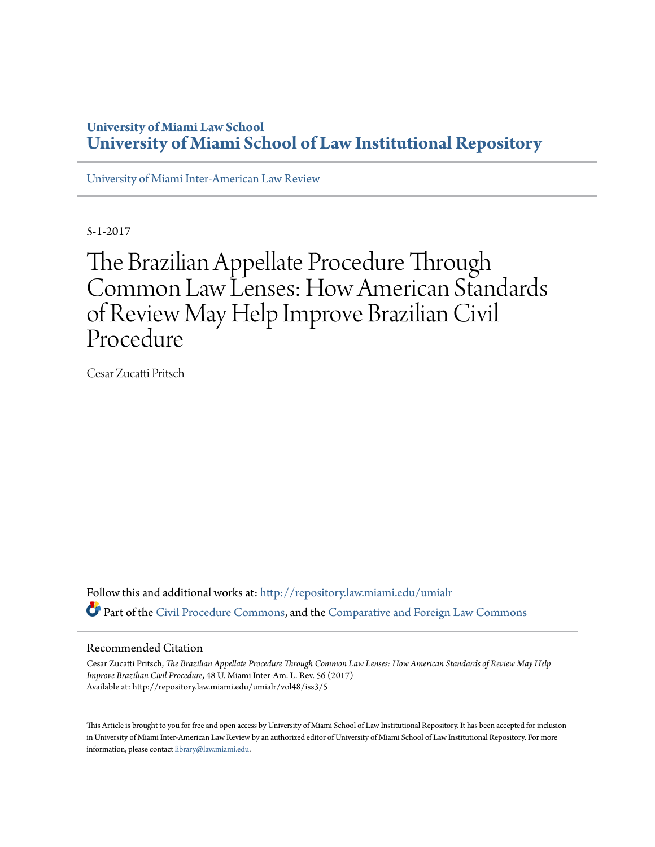# **University of Miami Law School [University of Miami School of Law Institutional Repository](http://repository.law.miami.edu?utm_source=repository.law.miami.edu%2Fumialr%2Fvol48%2Fiss3%2F5&utm_medium=PDF&utm_campaign=PDFCoverPages)**

[University of Miami Inter-American Law Review](http://repository.law.miami.edu/umialr?utm_source=repository.law.miami.edu%2Fumialr%2Fvol48%2Fiss3%2F5&utm_medium=PDF&utm_campaign=PDFCoverPages)

5-1-2017

# The Brazilian Appellate Procedure Through Common Law Lenses: How American Standards of Review May Help Improve Brazilian Civil Procedure

Cesar Zucatti Pritsch

Follow this and additional works at: [http://repository.law.miami.edu/umialr](http://repository.law.miami.edu/umialr?utm_source=repository.law.miami.edu%2Fumialr%2Fvol48%2Fiss3%2F5&utm_medium=PDF&utm_campaign=PDFCoverPages) Part of the [Civil Procedure Commons](http://network.bepress.com/hgg/discipline/584?utm_source=repository.law.miami.edu%2Fumialr%2Fvol48%2Fiss3%2F5&utm_medium=PDF&utm_campaign=PDFCoverPages), and the [Comparative and Foreign Law Commons](http://network.bepress.com/hgg/discipline/836?utm_source=repository.law.miami.edu%2Fumialr%2Fvol48%2Fiss3%2F5&utm_medium=PDF&utm_campaign=PDFCoverPages)

#### Recommended Citation

Cesar Zucatti Pritsch, *The Brazilian Appellate Procedure Through Common Law Lenses: How American Standards of Review May Help Improve Brazilian Civil Procedure*, 48 U. Miami Inter-Am. L. Rev. 56 (2017) Available at: http://repository.law.miami.edu/umialr/vol48/iss3/5

This Article is brought to you for free and open access by University of Miami School of Law Institutional Repository. It has been accepted for inclusion in University of Miami Inter-American Law Review by an authorized editor of University of Miami School of Law Institutional Repository. For more information, please contact [library@law.miami.edu.](mailto:library@law.miami.edu)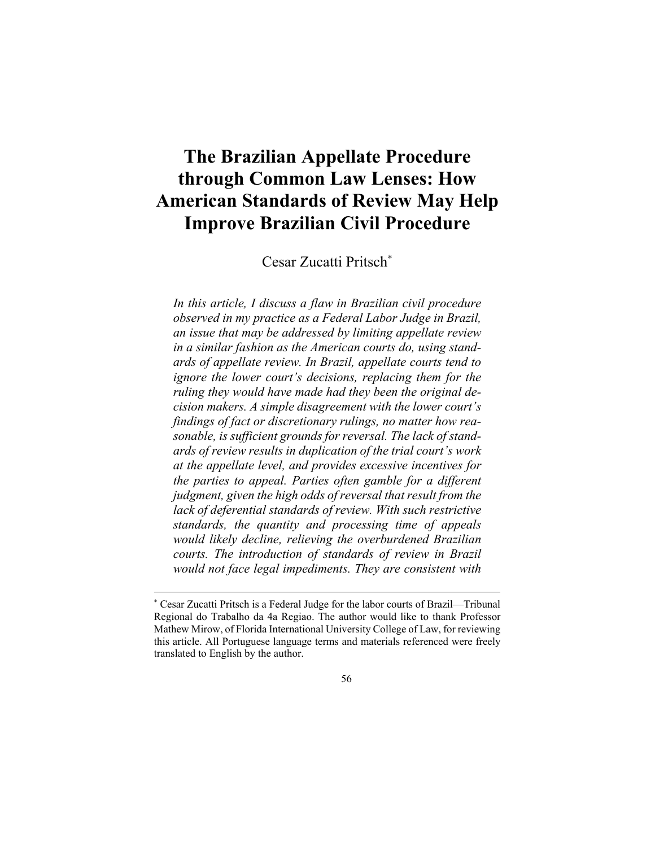# **The Brazilian Appellate Procedure through Common Law Lenses: How American Standards of Review May Help Improve Brazilian Civil Procedure**

Cesar Zucatti Pritsch\*

*In this article, I discuss a flaw in Brazilian civil procedure observed in my practice as a Federal Labor Judge in Brazil, an issue that may be addressed by limiting appellate review in a similar fashion as the American courts do, using standards of appellate review. In Brazil, appellate courts tend to ignore the lower court's decisions, replacing them for the ruling they would have made had they been the original decision makers. A simple disagreement with the lower court's findings of fact or discretionary rulings, no matter how reasonable, is sufficient grounds for reversal. The lack of standards of review results in duplication of the trial court's work at the appellate level, and provides excessive incentives for the parties to appeal. Parties often gamble for a different judgment, given the high odds of reversal that result from the lack of deferential standards of review. With such restrictive standards, the quantity and processing time of appeals would likely decline, relieving the overburdened Brazilian courts. The introduction of standards of review in Brazil would not face legal impediments. They are consistent with* 

1

56

<sup>\*</sup> Cesar Zucatti Pritsch is a Federal Judge for the labor courts of Brazil—Tribunal Regional do Trabalho da 4a Regiao. The author would like to thank Professor Mathew Mirow, of Florida International University College of Law, for reviewing this article. All Portuguese language terms and materials referenced were freely translated to English by the author.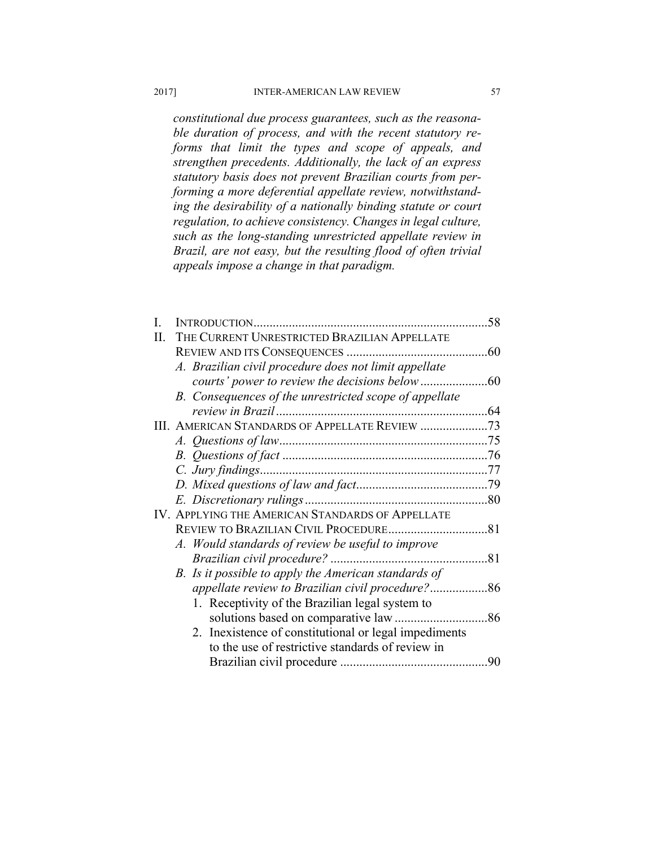*constitutional due process guarantees, such as the reasonable duration of process, and with the recent statutory reforms that limit the types and scope of appeals, and strengthen precedents. Additionally, the lack of an express statutory basis does not prevent Brazilian courts from performing a more deferential appellate review, notwithstanding the desirability of a nationally binding statute or court regulation, to achieve consistency. Changes in legal culture, such as the long-standing unrestricted appellate review in Brazil, are not easy, but the resulting flood of often trivial appeals impose a change in that paradigm.* 

|                                                        | 58                                                                                                       |
|--------------------------------------------------------|----------------------------------------------------------------------------------------------------------|
| THE CURRENT UNRESTRICTED BRAZILIAN APPELLATE           |                                                                                                          |
|                                                        |                                                                                                          |
| A. Brazilian civil procedure does not limit appellate  |                                                                                                          |
|                                                        |                                                                                                          |
| B. Consequences of the unrestricted scope of appellate |                                                                                                          |
|                                                        |                                                                                                          |
| III. AMERICAN STANDARDS OF APPELLATE REVIEW 73         |                                                                                                          |
|                                                        |                                                                                                          |
|                                                        |                                                                                                          |
|                                                        |                                                                                                          |
|                                                        |                                                                                                          |
|                                                        |                                                                                                          |
| IV. APPLYING THE AMERICAN STANDARDS OF APPELLATE       |                                                                                                          |
|                                                        |                                                                                                          |
| A. Would standards of review be useful to improve      |                                                                                                          |
| Brazilian civil procedure?<br>81                       |                                                                                                          |
| B. Is it possible to apply the American standards of   |                                                                                                          |
|                                                        |                                                                                                          |
|                                                        |                                                                                                          |
|                                                        |                                                                                                          |
|                                                        |                                                                                                          |
| to the use of restrictive standards of review in       |                                                                                                          |
|                                                        | 90                                                                                                       |
|                                                        | 1. Receptivity of the Brazilian legal system to<br>2. Inexistence of constitutional or legal impediments |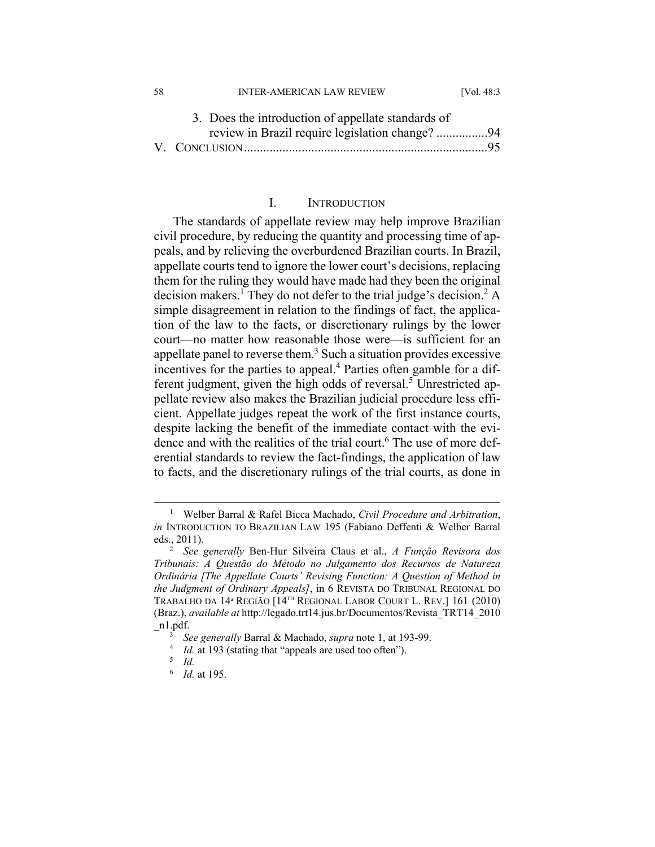| 3. Does the introduction of appellate standards of |  |
|----------------------------------------------------|--|
| review in Brazil require legislation change? 94    |  |
|                                                    |  |
|                                                    |  |

58 INTER-AMERICAN LAW REVIEW [Vol. 48:3

# I. INTRODUCTION

The standards of appellate review may help improve Brazilian civil procedure, by reducing the quantity and processing time of appeals, and by relieving the overburdened Brazilian courts. In Brazil, appellate courts tend to ignore the lower court's decisions, replacing them for the ruling they would have made had they been the original decision makers.<sup>1</sup> They do not defer to the trial judge's decision.<sup>2</sup> A simple disagreement in relation to the findings of fact, the application of the law to the facts, or discretionary rulings by the lower court—no matter how reasonable those were—is sufficient for an appellate panel to reverse them.<sup>3</sup> Such a situation provides excessive incentives for the parties to appeal.<sup>4</sup> Parties often gamble for a different judgment, given the high odds of reversal.<sup>5</sup> Unrestricted appellate review also makes the Brazilian judicial procedure less efficient. Appellate judges repeat the work of the first instance courts, despite lacking the benefit of the immediate contact with the evidence and with the realities of the trial court.<sup>6</sup> The use of more deferential standards to review the fact-findings, the application of law to facts, and the discretionary rulings of the trial courts, as done in

 $\frac{1}{1}$  Welber Barral & Rafel Bicca Machado, *Civil Procedure and Arbitration*, *in* INTRODUCTION TO BRAZILIAN LAW 195 (Fabiano Deffenti & Welber Barral eds., 2011). 2

*See generally* Ben-Hur Silveira Claus et al., *A Função Revisora dos Tribunais: A Questão do Método no Julgamento dos Recursos de Natureza Ordinária [The Appellate Courts' Revising Function: A Question of Method in the Judgment of Ordinary Appeals]*, in 6 REVISTA DO TRIBUNAL REGIONAL DO TRABALHO DA 14ª REGIÃO [14TH REGIONAL LABOR COURT L. REV.] 161 (2010) (Braz.), *available at* http://legado.trt14.jus.br/Documentos/Revista\_TRT14\_2010 n1.pdf.

<sup>&</sup>lt;sup>3</sup> See generally Barral & Machado, *supra* note 1, at 193-99.<br><sup>4</sup> *Id.* at 193 (stating that "anneals are used too often")

 $\frac{4}{5}$  *Id.* at 193 (stating that "appeals are used too often").

*Id.*

<sup>6</sup>  *Id.* at 195.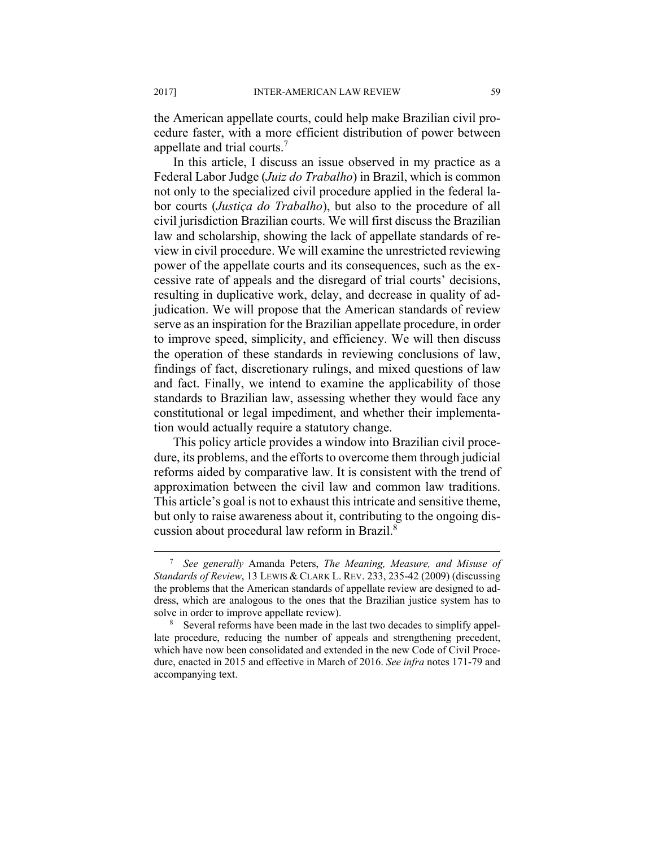the American appellate courts, could help make Brazilian civil procedure faster, with a more efficient distribution of power between appellate and trial courts.7

In this article, I discuss an issue observed in my practice as a Federal Labor Judge (*Juiz do Trabalho*) in Brazil, which is common not only to the specialized civil procedure applied in the federal labor courts (*Justiça do Trabalho*), but also to the procedure of all civil jurisdiction Brazilian courts. We will first discuss the Brazilian law and scholarship, showing the lack of appellate standards of review in civil procedure. We will examine the unrestricted reviewing power of the appellate courts and its consequences, such as the excessive rate of appeals and the disregard of trial courts' decisions, resulting in duplicative work, delay, and decrease in quality of adjudication. We will propose that the American standards of review serve as an inspiration for the Brazilian appellate procedure, in order to improve speed, simplicity, and efficiency. We will then discuss the operation of these standards in reviewing conclusions of law, findings of fact, discretionary rulings, and mixed questions of law and fact. Finally, we intend to examine the applicability of those standards to Brazilian law, assessing whether they would face any constitutional or legal impediment, and whether their implementation would actually require a statutory change.

This policy article provides a window into Brazilian civil procedure, its problems, and the efforts to overcome them through judicial reforms aided by comparative law. It is consistent with the trend of approximation between the civil law and common law traditions. This article's goal is not to exhaust this intricate and sensitive theme, but only to raise awareness about it, contributing to the ongoing discussion about procedural law reform in Brazil.8

 $\overline{a}$  *See generally* Amanda Peters, *The Meaning, Measure, and Misuse of Standards of Review*, 13 LEWIS & CLARK L. REV. 233, 235-42 (2009) (discussing the problems that the American standards of appellate review are designed to address, which are analogous to the ones that the Brazilian justice system has to solve in order to improve appellate review).

<sup>&</sup>lt;sup>8</sup> Several reforms have been made in the last two decades to simplify appellate procedure, reducing the number of appeals and strengthening precedent, which have now been consolidated and extended in the new Code of Civil Procedure, enacted in 2015 and effective in March of 2016. *See infra* notes 171-79 and accompanying text.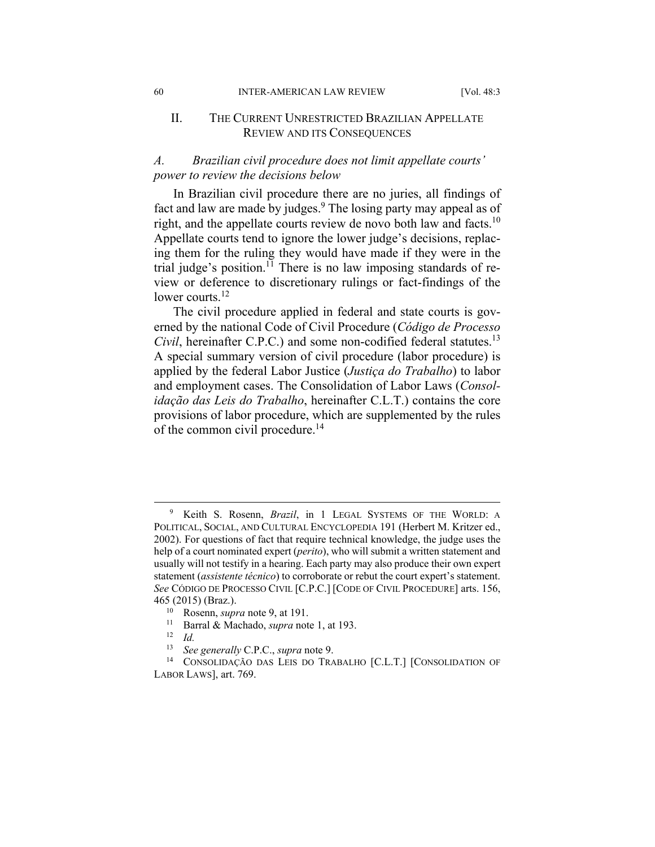## II. THE CURRENT UNRESTRICTED BRAZILIAN APPELLATE REVIEW AND ITS CONSEQUENCES

# *A. Brazilian civil procedure does not limit appellate courts' power to review the decisions below*

In Brazilian civil procedure there are no juries, all findings of fact and law are made by judges.<sup>9</sup> The losing party may appeal as of right, and the appellate courts review de novo both law and facts.10 Appellate courts tend to ignore the lower judge's decisions, replacing them for the ruling they would have made if they were in the trial judge's position.<sup>11</sup> There is no law imposing standards of review or deference to discretionary rulings or fact-findings of the lower courts.<sup>12</sup>

The civil procedure applied in federal and state courts is governed by the national Code of Civil Procedure (*Código de Processo Civil*, hereinafter C.P.C.) and some non-codified federal statutes.<sup>13</sup> A special summary version of civil procedure (labor procedure) is applied by the federal Labor Justice (*Justiça do Trabalho*) to labor and employment cases. The Consolidation of Labor Laws (*Consolidação das Leis do Trabalho*, hereinafter C.L.T.) contains the core provisions of labor procedure, which are supplemented by the rules of the common civil procedure.<sup>14</sup>

 $\overline{9}$  Keith S. Rosenn, *Brazil*, in 1 LEGAL SYSTEMS OF THE WORLD: A POLITICAL, SOCIAL, AND CULTURAL ENCYCLOPEDIA 191 (Herbert M. Kritzer ed., 2002). For questions of fact that require technical knowledge, the judge uses the help of a court nominated expert (*perito*), who will submit a written statement and usually will not testify in a hearing. Each party may also produce their own expert statement (*assistente técnico*) to corroborate or rebut the court expert's statement. *See* CÓDIGO DE PROCESSO CIVIL [C.P.C.] [CODE OF CIVIL PROCEDURE] arts. 156, 465 (2015) (Braz.). 10 Rosenn, *supra* note 9, at 191. 11 Barral & Machado, *supra* note 1, at 193. 12 *Id.*

<sup>&</sup>lt;sup>13</sup> See generally C.P.C., *supra* note 9.<br><sup>14</sup> CONSOLIDAÇÃO DAS LEIS DO TRABALHO [C.L.T.] [CONSOLIDATION OF LABOR LAWS], art. 769.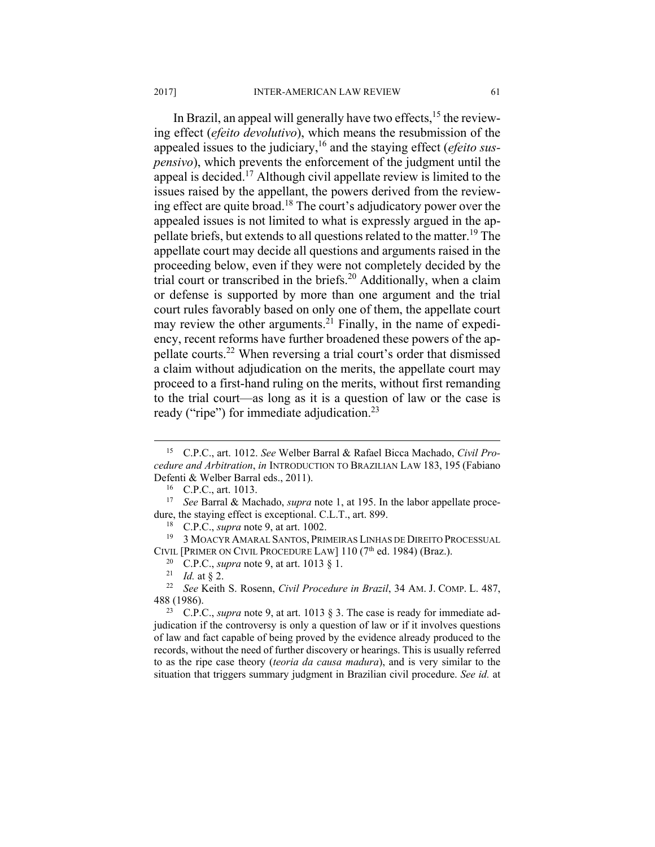In Brazil, an appeal will generally have two effects, $1<sup>5</sup>$  the reviewing effect (*efeito devolutivo*), which means the resubmission of the appealed issues to the judiciary,16 and the staying effect (*efeito suspensivo*), which prevents the enforcement of the judgment until the appeal is decided.17 Although civil appellate review is limited to the issues raised by the appellant, the powers derived from the reviewing effect are quite broad.18 The court's adjudicatory power over the appealed issues is not limited to what is expressly argued in the appellate briefs, but extends to all questions related to the matter.<sup>19</sup> The appellate court may decide all questions and arguments raised in the proceeding below, even if they were not completely decided by the trial court or transcribed in the briefs.<sup>20</sup> Additionally, when a claim or defense is supported by more than one argument and the trial court rules favorably based on only one of them, the appellate court may review the other arguments.<sup>21</sup> Finally, in the name of expediency, recent reforms have further broadened these powers of the appellate courts.22 When reversing a trial court's order that dismissed a claim without adjudication on the merits, the appellate court may proceed to a first-hand ruling on the merits, without first remanding to the trial court—as long as it is a question of law or the case is ready ("ripe") for immediate adjudication.<sup>23</sup>

 <sup>15</sup> C.P.C., art. 1012. *See* Welber Barral & Rafael Bicca Machado, *Civil Procedure and Arbitration*, *in* INTRODUCTION TO BRAZILIAN LAW 183, 195 (Fabiano Defenti & Welber Barral eds., 2011). 16 C.P.C., art. 1013.

<sup>17</sup> *See* Barral & Machado, *supra* note 1, at 195. In the labor appellate proce-

dure, the staying effect is exceptional. C.L.T., art. 899.<br><sup>18</sup> C.P.C., *supra* note 9, at art. 1002.<br><sup>19</sup> 3 MOACYR AMARAL SANTOS, PRIMEIRAS LINHAS DE DIREITO PROCESSUAL<br>CIVIL [PRIMER ON CIVIL PROCEDURE LAW] 110 (7<sup>th</sup> ed.

<sup>&</sup>lt;sup>20</sup> C.P.C., *supra* note 9, at art. 1013 § 1.<br><sup>21</sup> *Id.* at § 2.<br><sup>22</sup> *See* Keith S. Rosenn, *Civil Procedure in Brazil*, 34 AM. J. COMP. L. 487, 488 (1986). 23 C.P.C., *supra* note 9, at art. 1013 § 3. The case is ready for immediate ad-

judication if the controversy is only a question of law or if it involves questions of law and fact capable of being proved by the evidence already produced to the records, without the need of further discovery or hearings. This is usually referred to as the ripe case theory (*teoria da causa madura*), and is very similar to the situation that triggers summary judgment in Brazilian civil procedure. *See id.* at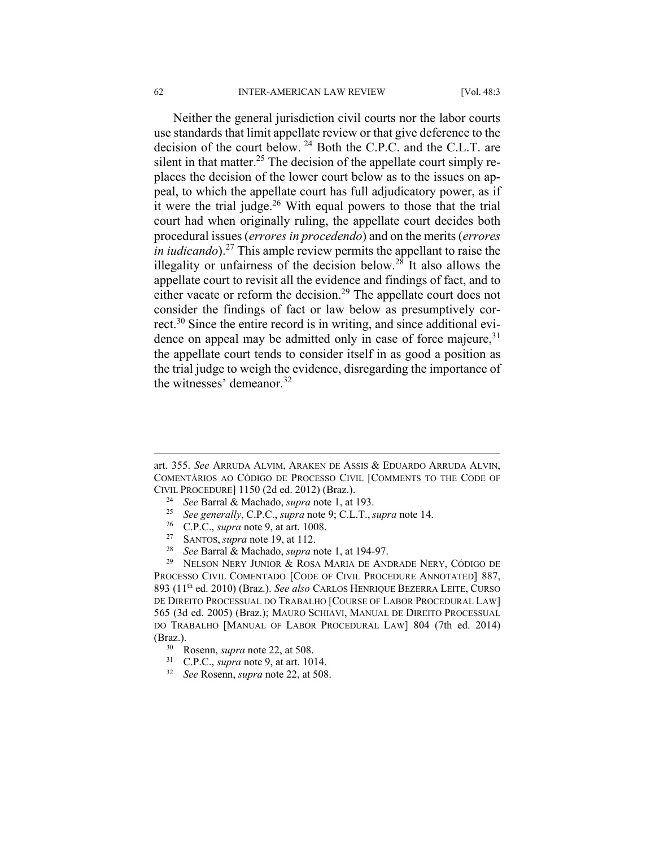#### 62 INTER-AMERICAN LAW REVIEW [Vol. 48:3

Neither the general jurisdiction civil courts nor the labor courts use standards that limit appellate review or that give deference to the decision of the court below. 24 Both the C.P.C. and the C.L.T. are silent in that matter.<sup>25</sup> The decision of the appellate court simply replaces the decision of the lower court below as to the issues on appeal, to which the appellate court has full adjudicatory power, as if it were the trial judge. $26$  With equal powers to those that the trial court had when originally ruling, the appellate court decides both procedural issues (*errores in procedendo*) and on the merits (*errores in iudicando*).<sup>27</sup> This ample review permits the appellant to raise the illegality or unfairness of the decision below.<sup>28</sup> It also allows the appellate court to revisit all the evidence and findings of fact, and to either vacate or reform the decision.<sup>29</sup> The appellate court does not consider the findings of fact or law below as presumptively correct.30 Since the entire record is in writing, and since additional evidence on appeal may be admitted only in case of force majeure,  $31$ the appellate court tends to consider itself in as good a position as the trial judge to weigh the evidence, disregarding the importance of the witnesses' demeanor.<sup>32</sup>

- 
- 
- 
- 
- 

PROCESSO CIVIL COMENTADO [CODE OF CIVIL PROCEDURE ANNOTATED] 887, 893 (11th ed. 2010) (Braz.). *See also* CARLOS HENRIQUE BEZERRA LEITE, CURSO DE DIREITO PROCESSUAL DO TRABALHO [COURSE OF LABOR PROCEDURAL LAW] 565 (3d ed. 2005) (Braz.); MAURO SCHIAVI, MANUAL DE DIREITO PROCESSUAL DO TRABALHO [MANUAL OF LABOR PROCEDURAL LAW] 804 (7th ed. 2014) (Braz.). 30 Rosenn, *supra* note 22, at 508. 31 C.P.C., *supra* note 9, at art. 1014. 32 *See* Rosenn, *supra* note 22, at 508.

art. 355. *See* ARRUDA ALVIM, ARAKEN DE ASSIS & EDUARDO ARRUDA ALVIN, COMENTÁRIOS AO CÓDIGO DE PROCESSO CIVIL [COMMENTS TO THE CODE OF CIVIL PROCEDURE] 1150 (2d ed. 2012) (Braz.).<br>
<sup>24</sup> See Barral & Machado, *supra* note 1, at 193.<br>
<sup>25</sup> See generally, C.P.C., *supra* note 9; C.L.T., *supra* note 14.<br>
<sup>26</sup> C.P.C., *supra* note 9, at art. 1008.<br>
<sup>27</sup> SANT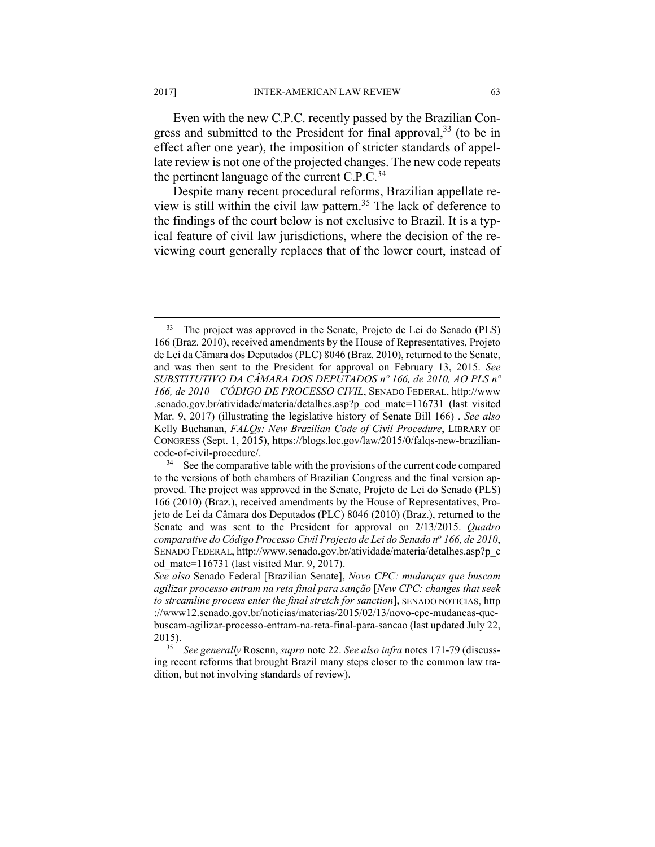Even with the new C.P.C. recently passed by the Brazilian Congress and submitted to the President for final approval,<sup>33</sup> (to be in effect after one year), the imposition of stricter standards of appellate review is not one of the projected changes. The new code repeats the pertinent language of the current  $C.P.C.<sup>34</sup>$ 

Despite many recent procedural reforms, Brazilian appellate review is still within the civil law pattern.35 The lack of deference to the findings of the court below is not exclusive to Brazil. It is a typical feature of civil law jurisdictions, where the decision of the reviewing court generally replaces that of the lower court, instead of

<sup>&</sup>lt;sup>33</sup> The project was approved in the Senate, Projeto de Lei do Senado (PLS) 166 (Braz. 2010), received amendments by the House of Representatives, Projeto de Lei da Câmara dos Deputados (PLC) 8046 (Braz. 2010), returned to the Senate, and was then sent to the President for approval on February 13, 2015. *See SUBSTITUTIVO DA CÂMARA DOS DEPUTADOS nº 166, de 2010, AO PLS nº 166, de 2010 – CÓDIGO DE PROCESSO CIVIL*, SENADO FEDERAL, http://www .senado.gov.br/atividade/materia/detalhes.asp?p\_cod\_mate=116731 (last visited Mar. 9, 2017) (illustrating the legislative history of Senate Bill 166) . *See also*  Kelly Buchanan, *FALQs: New Brazilian Code of Civil Procedure*, LIBRARY OF CONGRESS (Sept. 1, 2015), https://blogs.loc.gov/law/2015/0/falqs-new-braziliancode-of-civil-procedure/. 34 See the comparative table with the provisions of the current code compared

to the versions of both chambers of Brazilian Congress and the final version approved. The project was approved in the Senate, Projeto de Lei do Senado (PLS) 166 (2010) (Braz.), received amendments by the House of Representatives, Projeto de Lei da Câmara dos Deputados (PLC) 8046 (2010) (Braz.), returned to the Senate and was sent to the President for approval on 2/13/2015. *Quadro comparative do Código Processo Civil Projecto de Lei do Senado no 166, de 2010*, SENADO FEDERAL, http://www.senado.gov.br/atividade/materia/detalhes.asp?p\_c od\_mate=116731 (last visited Mar. 9, 2017).

*See also* Senado Federal [Brazilian Senate], *Novo CPC: mudanças que buscam agilizar processo entram na reta final para sanção* [*New CPC: changes that seek to streamline process enter the final stretch for sanction*], SENADO NOTICIAS, http ://www12.senado.gov.br/noticias/materias/2015/02/13/novo-cpc-mudancas-quebuscam-agilizar-processo-entram-na-reta-final-para-sancao (last updated July 22,

<sup>2015). 35</sup> *See generally* Rosenn, *supra* note 22. *See also infra* notes 171-79 (discussing recent reforms that brought Brazil many steps closer to the common law tradition, but not involving standards of review).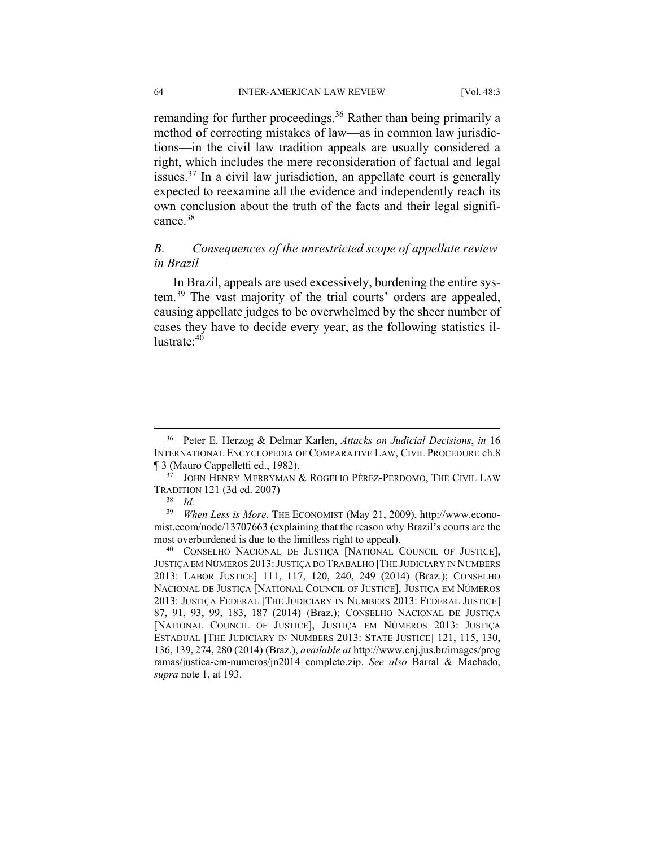remanding for further proceedings.<sup>36</sup> Rather than being primarily a method of correcting mistakes of law—as in common law jurisdictions—in the civil law tradition appeals are usually considered a right, which includes the mere reconsideration of factual and legal issues. $37$  In a civil law jurisdiction, an appellate court is generally expected to reexamine all the evidence and independently reach its own conclusion about the truth of the facts and their legal significance.<sup>38</sup>

# *B. Consequences of the unrestricted scope of appellate review in Brazil*

In Brazil, appeals are used excessively, burdening the entire system.39 The vast majority of the trial courts' orders are appealed, causing appellate judges to be overwhelmed by the sheer number of cases they have to decide every year, as the following statistics illustrate: 40

 <sup>36</sup> Peter E. Herzog & Delmar Karlen, *Attacks on Judicial Decisions*, *in*<sup>16</sup> INTERNATIONAL ENCYCLOPEDIA OF COMPARATIVE LAW, CIVIL PROCEDURE ch.8 ¶ 3 (Mauro Cappelletti ed., 1982). 37 JOHN HENRY MERRYMAN & ROGELIO PÉREZ-PERDOMO, THE CIVIL LAW

TRADITION 121 (3d ed. 2007) 38 *Id.*

<sup>39</sup> *When Less is More*, THE ECONOMIST (May 21, 2009), http://www.economist.ecom/node/13707663 (explaining that the reason why Brazil's courts are the

most overburdened is due to the limitless right to appeal).<br><sup>40</sup> CONSELHO NACIONAL DE JUSTIÇA [NATIONAL COUNCIL OF JUSTICE], JUSTIÇA EM NÚMEROS 2013:JUSTIÇA DO TRABALHO [THE JUDICIARY IN NUMBERS 2013: LABOR JUSTICE] 111, 117, 120, 240, 249 (2014) (Braz.); CONSELHO NACIONAL DE JUSTIÇA [NATIONAL COUNCIL OF JUSTICE], JUSTIÇA EM NÚMEROS 2013: JUSTIÇA FEDERAL [THE JUDICIARY IN NUMBERS 2013: FEDERAL JUSTICE] 87, 91, 93, 99, 183, 187 (2014) (Braz.); CONSELHO NACIONAL DE JUSTIÇA [NATIONAL COUNCIL OF JUSTICE], JUSTIÇA EM NÚMEROS 2013: JUSTIÇA ESTADUAL [THE JUDICIARY IN NUMBERS 2013: STATE JUSTICE] 121, 115, 130, 136, 139, 274, 280 (2014) (Braz.), *available at* http://www.cnj.jus.br/images/prog ramas/justica-em-numeros/jn2014\_completo.zip. *See also* Barral & Machado, *supra* note 1, at 193.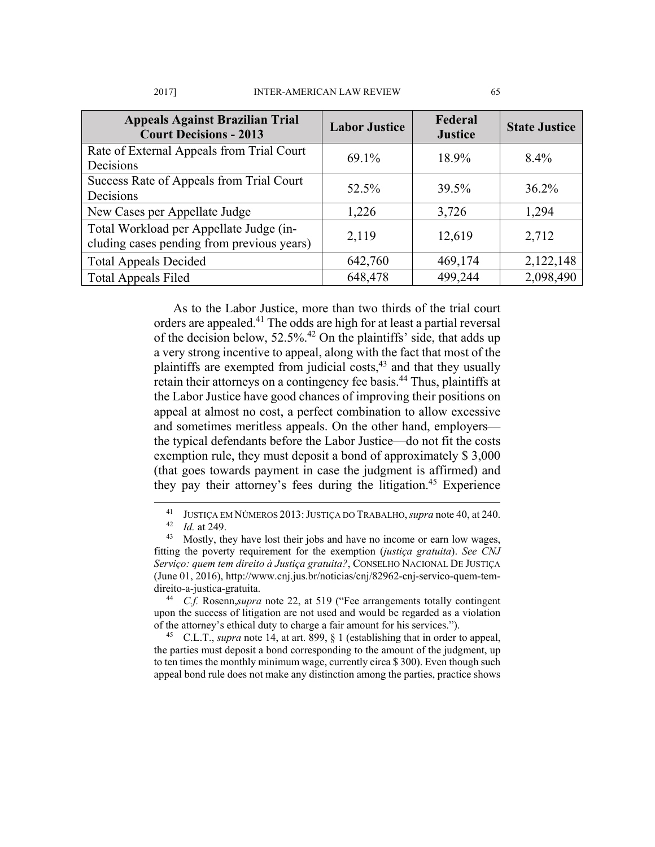| <b>Appeals Against Brazilian Trial</b><br><b>Court Decisions - 2013</b>               | <b>Labor Justice</b> | Federal<br><b>Justice</b> | <b>State Justice</b> |
|---------------------------------------------------------------------------------------|----------------------|---------------------------|----------------------|
| Rate of External Appeals from Trial Court<br>Decisions                                | 69.1%                | 18.9%                     | $8.4\%$              |
| Success Rate of Appeals from Trial Court<br>Decisions                                 | 52.5%                | 39.5%                     | $36.2\%$             |
| New Cases per Appellate Judge                                                         | 1,226                | 3,726                     | 1,294                |
| Total Workload per Appellate Judge (in-<br>cluding cases pending from previous years) | 2,119                | 12,619                    | 2,712                |
| <b>Total Appeals Decided</b>                                                          | 642,760              | 469,174                   | 2,122,148            |
| <b>Total Appeals Filed</b>                                                            | 648,478              | 499,244                   | 2,098,490            |

As to the Labor Justice, more than two thirds of the trial court orders are appealed.41 The odds are high for at least a partial reversal of the decision below,  $52.5\%$ .<sup>42</sup> On the plaintiffs' side, that adds up a very strong incentive to appeal, along with the fact that most of the plaintiffs are exempted from judicial costs,<sup>43</sup> and that they usually retain their attorneys on a contingency fee basis.44 Thus, plaintiffs at the Labor Justice have good chances of improving their positions on appeal at almost no cost, a perfect combination to allow excessive and sometimes meritless appeals. On the other hand, employers the typical defendants before the Labor Justice—do not fit the costs exemption rule, they must deposit a bond of approximately \$ 3,000 (that goes towards payment in case the judgment is affirmed) and they pay their attorney's fees during the litigation.<sup>45</sup> Experience

the parties must deposit a bond corresponding to the amount of the judgment, up to ten times the monthly minimum wage, currently circa \$ 300). Even though such appeal bond rule does not make any distinction among the parties, practice shows

<sup>&</sup>lt;sup>41</sup> JUSTIÇA EM NÚMEROS 2013: JUSTIÇA DO TRABALHO, *supra* note 40, at 240.<br><sup>42</sup> *Id.* at 249. Mostly, they have lost their jobs and have no income or earn low wages,

fitting the poverty requirement for the exemption (*justiça gratuita*). *See CNJ Serviço: quem tem direito à Justiça gratuita?*, CONSELHO NACIONAL DE JUSTIÇA (June 01, 2016), http://www.cnj.jus.br/noticias/cnj/82962-cnj-servico-quem-temdireito-a-justica-gratuita. 44 *C.f.* Rosenn,*supra* note 22, at 519 ("Fee arrangements totally contingent

upon the success of litigation are not used and would be regarded as a violation of the attorney's ethical duty to charge a fair amount for his services."). 45 C.L.T., *supra* note 14, at art. 899, § 1 (establishing that in order to appeal,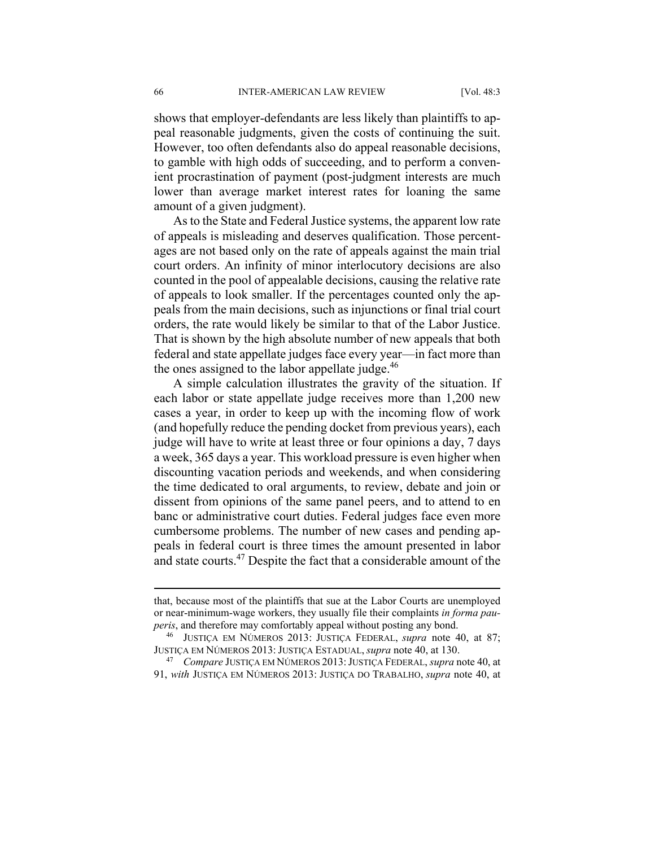shows that employer-defendants are less likely than plaintiffs to appeal reasonable judgments, given the costs of continuing the suit. However, too often defendants also do appeal reasonable decisions, to gamble with high odds of succeeding, and to perform a convenient procrastination of payment (post-judgment interests are much lower than average market interest rates for loaning the same amount of a given judgment).

As to the State and Federal Justice systems, the apparent low rate of appeals is misleading and deserves qualification. Those percentages are not based only on the rate of appeals against the main trial court orders. An infinity of minor interlocutory decisions are also counted in the pool of appealable decisions, causing the relative rate of appeals to look smaller. If the percentages counted only the appeals from the main decisions, such as injunctions or final trial court orders, the rate would likely be similar to that of the Labor Justice. That is shown by the high absolute number of new appeals that both federal and state appellate judges face every year—in fact more than the ones assigned to the labor appellate judge. $46$ 

A simple calculation illustrates the gravity of the situation. If each labor or state appellate judge receives more than 1,200 new cases a year, in order to keep up with the incoming flow of work (and hopefully reduce the pending docket from previous years), each judge will have to write at least three or four opinions a day, 7 days a week, 365 days a year. This workload pressure is even higher when discounting vacation periods and weekends, and when considering the time dedicated to oral arguments, to review, debate and join or dissent from opinions of the same panel peers, and to attend to en banc or administrative court duties. Federal judges face even more cumbersome problems. The number of new cases and pending appeals in federal court is three times the amount presented in labor and state courts.47 Despite the fact that a considerable amount of the

that, because most of the plaintiffs that sue at the Labor Courts are unemployed or near-minimum-wage workers, they usually file their complaints *in forma pauperis*, and therefore may comfortably appeal without posting any bond.<br><sup>46</sup> JUSTIÇA EM NÚMEROS 2013: JUSTIÇA FEDERAL, *supra* note 40, at 87;

JUSTIÇA EM NÚMEROS 2013: JUSTIÇA ESTADUAL, *supra* note 40, at 130. 47 *Compare* JUSTIÇA EM NÚMEROS 2013:JUSTIÇA FEDERAL, *supra* note 40, at

<sup>91,</sup> *with* JUSTIÇA EM NÚMEROS 2013: JUSTIÇA DO TRABALHO, *supra* note 40, at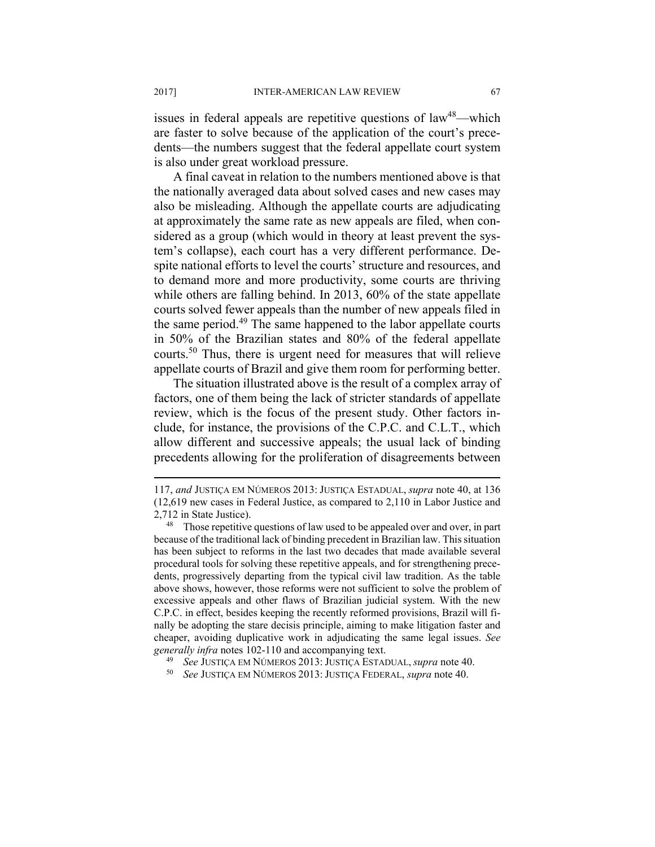issues in federal appeals are repetitive questions of  $law<sup>48</sup>$ —which are faster to solve because of the application of the court's precedents—the numbers suggest that the federal appellate court system is also under great workload pressure.

A final caveat in relation to the numbers mentioned above is that the nationally averaged data about solved cases and new cases may also be misleading. Although the appellate courts are adjudicating at approximately the same rate as new appeals are filed, when considered as a group (which would in theory at least prevent the system's collapse), each court has a very different performance. Despite national efforts to level the courts' structure and resources, and to demand more and more productivity, some courts are thriving while others are falling behind. In 2013, 60% of the state appellate courts solved fewer appeals than the number of new appeals filed in the same period.<sup>49</sup> The same happened to the labor appellate courts in 50% of the Brazilian states and 80% of the federal appellate courts.50 Thus, there is urgent need for measures that will relieve appellate courts of Brazil and give them room for performing better.

The situation illustrated above is the result of a complex array of factors, one of them being the lack of stricter standards of appellate review, which is the focus of the present study. Other factors include, for instance, the provisions of the C.P.C. and C.L.T., which allow different and successive appeals; the usual lack of binding precedents allowing for the proliferation of disagreements between

<sup>117,</sup> *and* JUSTIÇA EM NÚMEROS 2013: JUSTIÇA ESTADUAL, *supra* note 40, at 136 (12,619 new cases in Federal Justice, as compared to 2,110 in Labor Justice and

<sup>2,712</sup> in State Justice).<br><sup>48</sup> Those repetitive questions of law used to be appealed over and over, in part because of the traditional lack of binding precedent in Brazilian law. This situation has been subject to reforms in the last two decades that made available several procedural tools for solving these repetitive appeals, and for strengthening precedents, progressively departing from the typical civil law tradition. As the table above shows, however, those reforms were not sufficient to solve the problem of excessive appeals and other flaws of Brazilian judicial system. With the new C.P.C. in effect, besides keeping the recently reformed provisions, Brazil will finally be adopting the stare decisis principle, aiming to make litigation faster and cheaper, avoiding duplicative work in adjudicating the same legal issues. *See generally infra* notes 102-110 and accompanying text. 49 *See* JUSTIÇA EM NÚMEROS 2013: JUSTIÇA ESTADUAL, *supra* note 40. 50 *See* JUSTIÇA EM NÚMEROS 2013: JUSTIÇA FEDERAL, *supra* note 40.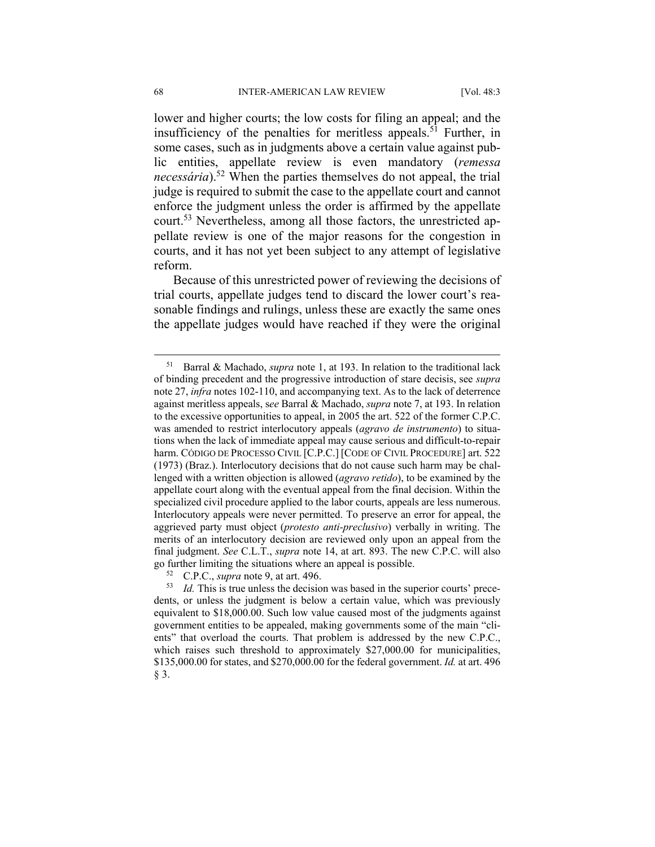lower and higher courts; the low costs for filing an appeal; and the insufficiency of the penalties for meritless appeals.<sup>51</sup> Further, in some cases, such as in judgments above a certain value against public entities, appellate review is even mandatory (*remessa necessária*).<sup>52</sup> When the parties themselves do not appeal, the trial judge is required to submit the case to the appellate court and cannot enforce the judgment unless the order is affirmed by the appellate court.53 Nevertheless, among all those factors, the unrestricted appellate review is one of the major reasons for the congestion in courts, and it has not yet been subject to any attempt of legislative reform.

Because of this unrestricted power of reviewing the decisions of trial courts, appellate judges tend to discard the lower court's reasonable findings and rulings, unless these are exactly the same ones the appellate judges would have reached if they were the original

 <sup>51</sup> Barral & Machado, *supra* note 1, at 193. In relation to the traditional lack of binding precedent and the progressive introduction of stare decisis, see *supra* note 27, *infra* notes 102-110, and accompanying text. As to the lack of deterrence against meritless appeals, s*ee* Barral & Machado, *supra* note 7, at 193. In relation to the excessive opportunities to appeal, in 2005 the art. 522 of the former C.P.C. was amended to restrict interlocutory appeals (*agravo de instrumento*) to situations when the lack of immediate appeal may cause serious and difficult-to-repair harm. CÓDIGO DE PROCESSO CIVIL [C.P.C.] [CODE OF CIVIL PROCEDURE] art. 522 (1973) (Braz.). Interlocutory decisions that do not cause such harm may be challenged with a written objection is allowed (*agravo retido*), to be examined by the appellate court along with the eventual appeal from the final decision. Within the specialized civil procedure applied to the labor courts, appeals are less numerous. Interlocutory appeals were never permitted. To preserve an error for appeal, the aggrieved party must object (*protesto anti-preclusivo*) verbally in writing. The merits of an interlocutory decision are reviewed only upon an appeal from the final judgment. *See* C.L.T., *supra* note 14, at art. 893. The new C.P.C. will also go further limiting the situations where an appeal is possible.<br><sup>52</sup> C.P.C., *supra* note 9, at art. 496.<br><sup>53</sup> Id. This is true unless the decision was based in the superior courts' prece-

dents, or unless the judgment is below a certain value, which was previously equivalent to \$18,000.00. Such low value caused most of the judgments against government entities to be appealed, making governments some of the main "clients" that overload the courts. That problem is addressed by the new C.P.C., which raises such threshold to approximately \$27,000.00 for municipalities, \$135,000.00 for states, and \$270,000.00 for the federal government. *Id.* at art. 496 § 3.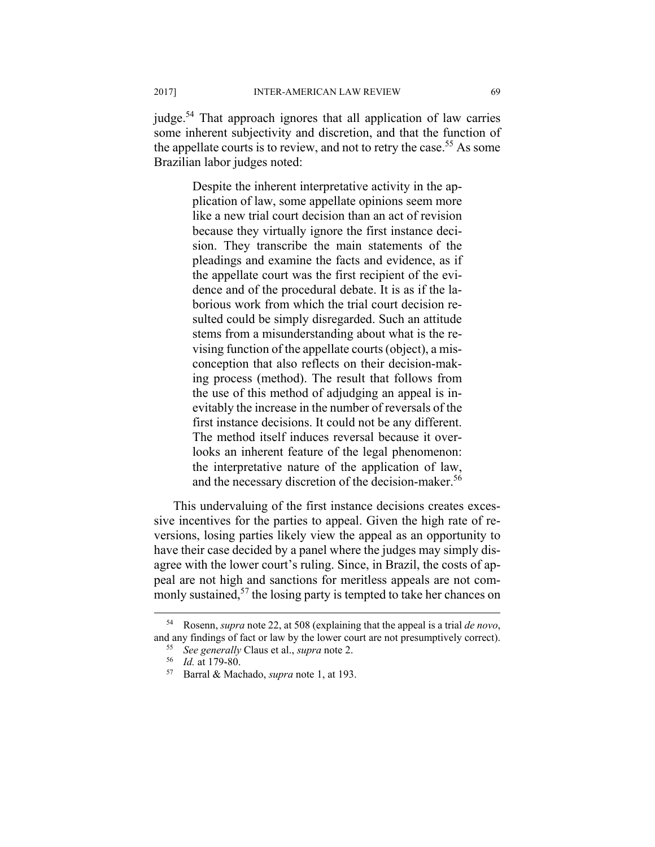judge.<sup>54</sup> That approach ignores that all application of law carries some inherent subjectivity and discretion, and that the function of the appellate courts is to review, and not to retry the case.<sup>55</sup> As some Brazilian labor judges noted:

> Despite the inherent interpretative activity in the application of law, some appellate opinions seem more like a new trial court decision than an act of revision because they virtually ignore the first instance decision. They transcribe the main statements of the pleadings and examine the facts and evidence, as if the appellate court was the first recipient of the evidence and of the procedural debate. It is as if the laborious work from which the trial court decision resulted could be simply disregarded. Such an attitude stems from a misunderstanding about what is the revising function of the appellate courts (object), a misconception that also reflects on their decision-making process (method). The result that follows from the use of this method of adjudging an appeal is inevitably the increase in the number of reversals of the first instance decisions. It could not be any different. The method itself induces reversal because it overlooks an inherent feature of the legal phenomenon: the interpretative nature of the application of law, and the necessary discretion of the decision-maker.<sup>56</sup>

This undervaluing of the first instance decisions creates excessive incentives for the parties to appeal. Given the high rate of reversions, losing parties likely view the appeal as an opportunity to have their case decided by a panel where the judges may simply disagree with the lower court's ruling. Since, in Brazil, the costs of appeal are not high and sanctions for meritless appeals are not commonly sustained,<sup>57</sup> the losing party is tempted to take her chances on

 <sup>54</sup> Rosenn, *supra* note 22, at 508 (explaining that the appeal is a trial *de novo*, and any findings of fact or law by the lower court are not presumptively correct). 55 *See generally* Claus et al., *supra* note 2. 56 *Id.* at 179-80. 57 Barral & Machado, *supra* note 1, at 193.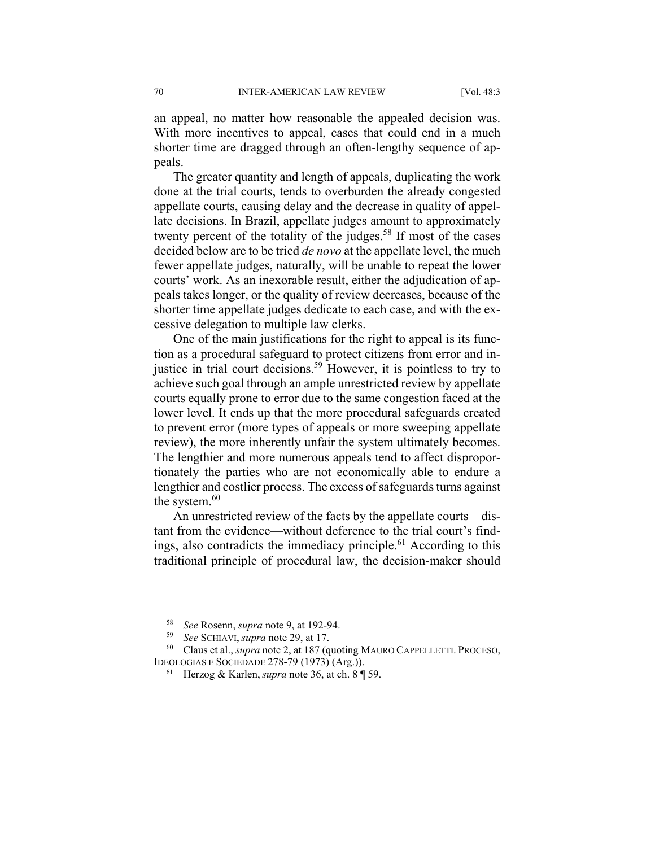an appeal, no matter how reasonable the appealed decision was. With more incentives to appeal, cases that could end in a much shorter time are dragged through an often-lengthy sequence of appeals.

The greater quantity and length of appeals, duplicating the work done at the trial courts, tends to overburden the already congested appellate courts, causing delay and the decrease in quality of appellate decisions. In Brazil, appellate judges amount to approximately twenty percent of the totality of the judges.<sup>58</sup> If most of the cases decided below are to be tried *de novo* at the appellate level, the much fewer appellate judges, naturally, will be unable to repeat the lower courts' work. As an inexorable result, either the adjudication of appeals takes longer, or the quality of review decreases, because of the shorter time appellate judges dedicate to each case, and with the excessive delegation to multiple law clerks.

One of the main justifications for the right to appeal is its function as a procedural safeguard to protect citizens from error and injustice in trial court decisions.<sup>59</sup> However, it is pointless to try to achieve such goal through an ample unrestricted review by appellate courts equally prone to error due to the same congestion faced at the lower level. It ends up that the more procedural safeguards created to prevent error (more types of appeals or more sweeping appellate review), the more inherently unfair the system ultimately becomes. The lengthier and more numerous appeals tend to affect disproportionately the parties who are not economically able to endure a lengthier and costlier process. The excess of safeguards turns against the system.<sup>60</sup>

An unrestricted review of the facts by the appellate courts—distant from the evidence—without deference to the trial court's findings, also contradicts the immediacy principle.<sup>61</sup> According to this traditional principle of procedural law, the decision-maker should

<sup>58</sup> *See* Rosenn, *supra* note 9, at 192-94. 59 *See* SCHIAVI, *supra* note 29, at 17. 60 Claus et al., *supra* note 2, at 187 (quoting MAURO CAPPELLETTI. PROCESO, IDEOLOGIAS E SOCIEDADE 278-79 (1973) (Arg.)). 61 Herzog & Karlen, *supra* note 36, at ch. 8 ¶ 59.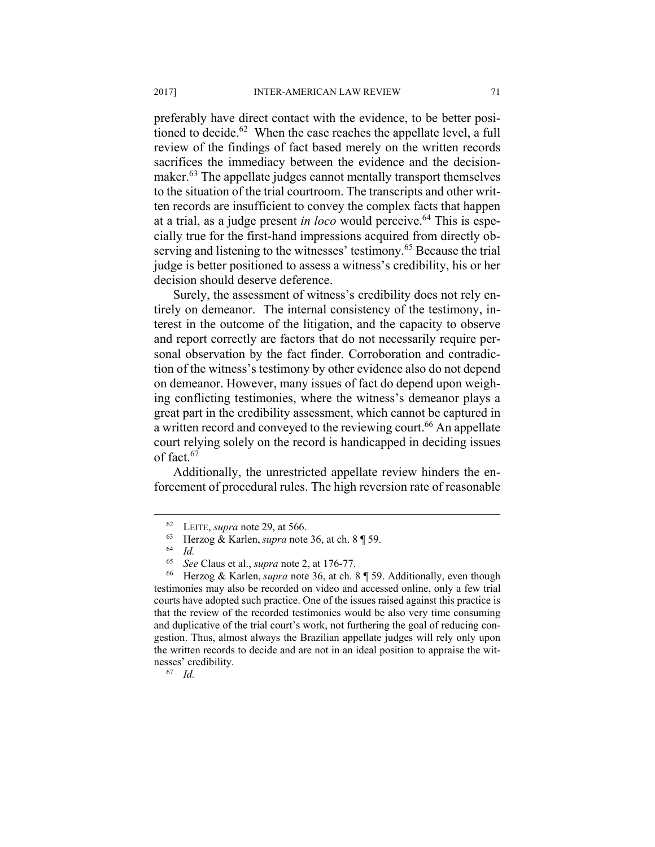preferably have direct contact with the evidence, to be better positioned to decide.<sup>62</sup> When the case reaches the appellate level, a full review of the findings of fact based merely on the written records sacrifices the immediacy between the evidence and the decisionmaker.<sup>63</sup> The appellate judges cannot mentally transport themselves to the situation of the trial courtroom. The transcripts and other written records are insufficient to convey the complex facts that happen at a trial, as a judge present *in loco* would perceive.<sup>64</sup> This is especially true for the first-hand impressions acquired from directly observing and listening to the witnesses' testimony.<sup>65</sup> Because the trial judge is better positioned to assess a witness's credibility, his or her decision should deserve deference.

Surely, the assessment of witness's credibility does not rely entirely on demeanor. The internal consistency of the testimony, interest in the outcome of the litigation, and the capacity to observe and report correctly are factors that do not necessarily require personal observation by the fact finder. Corroboration and contradiction of the witness's testimony by other evidence also do not depend on demeanor. However, many issues of fact do depend upon weighing conflicting testimonies, where the witness's demeanor plays a great part in the credibility assessment, which cannot be captured in a written record and conveyed to the reviewing court.<sup>66</sup> An appellate court relying solely on the record is handicapped in deciding issues of fact  $67$ 

Additionally, the unrestricted appellate review hinders the enforcement of procedural rules. The high reversion rate of reasonable

 <sup>62</sup> LEITE, *supra* note 29, at 566. 63 Herzog & Karlen, *supra* note 36, at ch. 8 ¶ 59. 64 *Id.* 

<sup>65</sup> *See* Claus et al., *supra* note 2, at 176-77. 66 Herzog & Karlen, *supra* note 36, at ch. 8 ¶ 59. Additionally, even though testimonies may also be recorded on video and accessed online, only a few trial courts have adopted such practice. One of the issues raised against this practice is that the review of the recorded testimonies would be also very time consuming and duplicative of the trial court's work, not furthering the goal of reducing congestion. Thus, almost always the Brazilian appellate judges will rely only upon the written records to decide and are not in an ideal position to appraise the witnesses' credibility. 67 *Id.*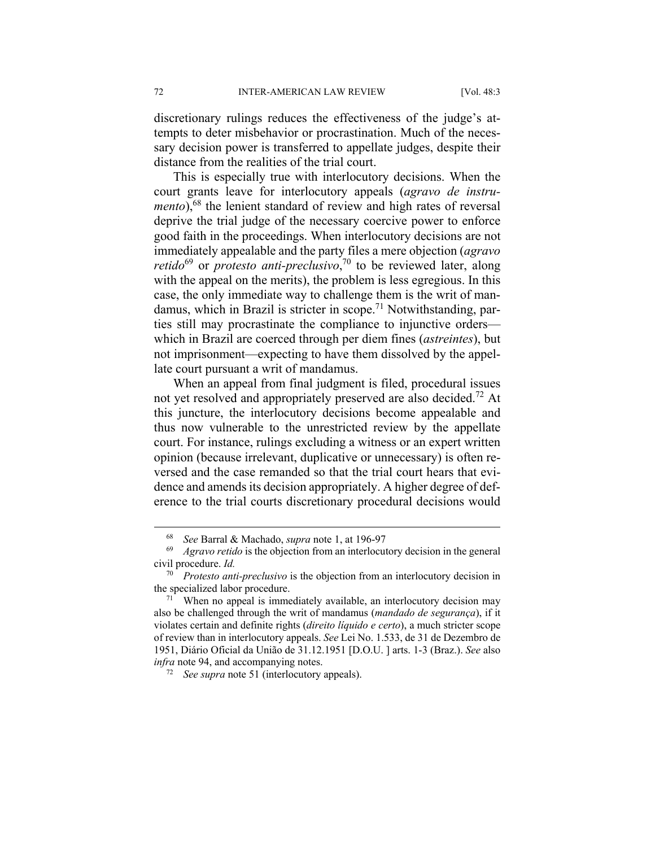discretionary rulings reduces the effectiveness of the judge's attempts to deter misbehavior or procrastination. Much of the necessary decision power is transferred to appellate judges, despite their distance from the realities of the trial court.

This is especially true with interlocutory decisions. When the court grants leave for interlocutory appeals (*agravo de instrumento*),<sup>68</sup> the lenient standard of review and high rates of reversal deprive the trial judge of the necessary coercive power to enforce good faith in the proceedings. When interlocutory decisions are not immediately appealable and the party files a mere objection (*agravo retido*<sup>69</sup> or *protesto anti-preclusivo*,<sup>70</sup> to be reviewed later, along with the appeal on the merits), the problem is less egregious. In this case, the only immediate way to challenge them is the writ of mandamus, which in Brazil is stricter in scope.<sup>71</sup> Notwithstanding, parties still may procrastinate the compliance to injunctive orders which in Brazil are coerced through per diem fines (*astreintes*), but not imprisonment—expecting to have them dissolved by the appellate court pursuant a writ of mandamus.

When an appeal from final judgment is filed, procedural issues not yet resolved and appropriately preserved are also decided.72 At this juncture, the interlocutory decisions become appealable and thus now vulnerable to the unrestricted review by the appellate court. For instance, rulings excluding a witness or an expert written opinion (because irrelevant, duplicative or unnecessary) is often reversed and the case remanded so that the trial court hears that evidence and amends its decision appropriately. A higher degree of deference to the trial courts discretionary procedural decisions would

<sup>&</sup>lt;sup>68</sup> See Barral & Machado, *supra* note 1, at 196-97<br><sup>69</sup> Agravo retido is the objection from an interlocutory decision in the general civil procedure. *Id.*

<sup>70</sup> *Protesto anti-preclusivo* is the objection from an interlocutory decision in the specialized labor procedure.<br><sup>71</sup> When no appeal is immediately available, an interlocutory decision may

also be challenged through the writ of mandamus (*mandado de segurança*), if it violates certain and definite rights (*direito líquido e certo*), a much stricter scope of review than in interlocutory appeals. *See* Lei No. 1.533, de 31 de Dezembro de 1951, Diário Oficial da União de 31.12.1951 [D.O.U. ] arts. 1-3 (Braz.). *See* also *infra* note 94, and accompanying notes. 72 *See supra* note 51 (interlocutory appeals).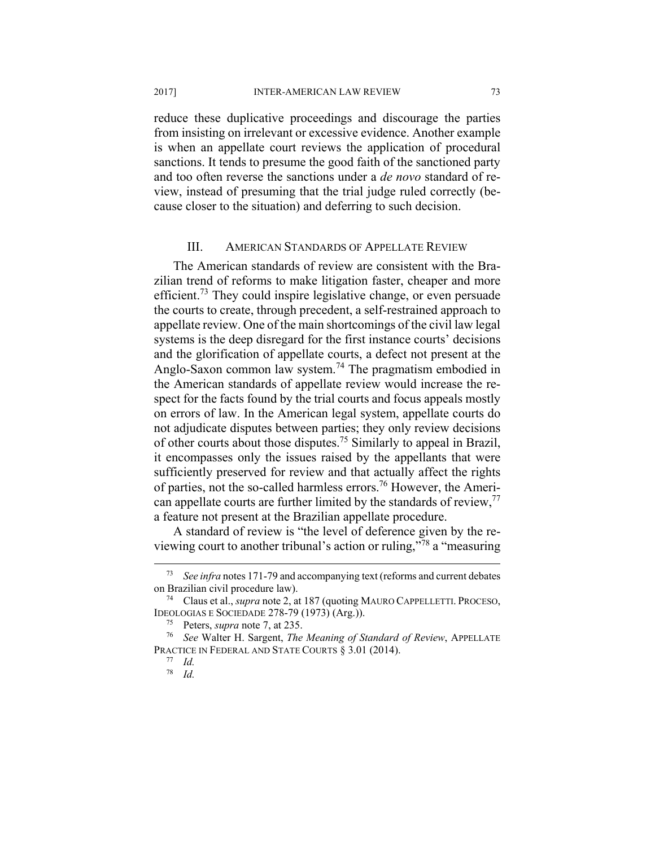reduce these duplicative proceedings and discourage the parties from insisting on irrelevant or excessive evidence. Another example is when an appellate court reviews the application of procedural sanctions. It tends to presume the good faith of the sanctioned party and too often reverse the sanctions under a *de novo* standard of review, instead of presuming that the trial judge ruled correctly (because closer to the situation) and deferring to such decision.

#### III. AMERICAN STANDARDS OF APPELLATE REVIEW

The American standards of review are consistent with the Brazilian trend of reforms to make litigation faster, cheaper and more efficient.<sup>73</sup> They could inspire legislative change, or even persuade the courts to create, through precedent, a self-restrained approach to appellate review. One of the main shortcomings of the civil law legal systems is the deep disregard for the first instance courts' decisions and the glorification of appellate courts, a defect not present at the Anglo-Saxon common law system.<sup>74</sup> The pragmatism embodied in the American standards of appellate review would increase the respect for the facts found by the trial courts and focus appeals mostly on errors of law. In the American legal system, appellate courts do not adjudicate disputes between parties; they only review decisions of other courts about those disputes.75 Similarly to appeal in Brazil, it encompasses only the issues raised by the appellants that were sufficiently preserved for review and that actually affect the rights of parties, not the so-called harmless errors.76 However, the American appellate courts are further limited by the standards of review,<sup>77</sup> a feature not present at the Brazilian appellate procedure.

A standard of review is "the level of deference given by the reviewing court to another tribunal's action or ruling,"78 a "measuring

 <sup>73</sup> *See infra* notes 171-79 and accompanying text (reforms and current debates on Brazilian civil procedure law). 74 Claus et al., *supra* note 2, at 187 (quoting MAURO CAPPELLETTI. PROCESO,

IDEOLOGIAS E SOCIEDADE 278-79 (1973) (Arg.)). 75 Peters, *supra* note 7, at 235. 76 *See* Walter H. Sargent, *The Meaning of Standard of Review*, APPELLATE

PRACTICE IN FEDERAL AND STATE COURTS § 3.01 (2014). 77 *Id.*

<sup>78</sup> *Id.*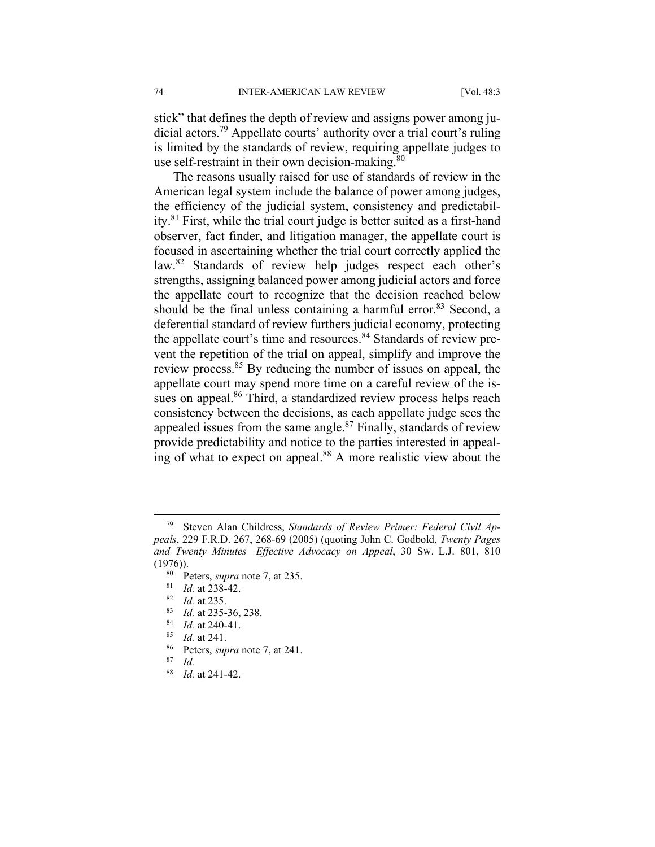stick" that defines the depth of review and assigns power among judicial actors.79 Appellate courts' authority over a trial court's ruling is limited by the standards of review, requiring appellate judges to use self-restraint in their own decision-making.<sup>80</sup>

The reasons usually raised for use of standards of review in the American legal system include the balance of power among judges, the efficiency of the judicial system, consistency and predictability.81 First, while the trial court judge is better suited as a first-hand observer, fact finder, and litigation manager, the appellate court is focused in ascertaining whether the trial court correctly applied the law.<sup>82</sup> Standards of review help judges respect each other's strengths, assigning balanced power among judicial actors and force the appellate court to recognize that the decision reached below should be the final unless containing a harmful error.<sup>83</sup> Second, a deferential standard of review furthers judicial economy, protecting the appellate court's time and resources.<sup>84</sup> Standards of review prevent the repetition of the trial on appeal, simplify and improve the review process.<sup>85</sup> By reducing the number of issues on appeal, the appellate court may spend more time on a careful review of the issues on appeal.<sup>86</sup> Third, a standardized review process helps reach consistency between the decisions, as each appellate judge sees the appealed issues from the same angle.<sup>87</sup> Finally, standards of review provide predictability and notice to the parties interested in appealing of what to expect on appeal.<sup>88</sup> A more realistic view about the

 <sup>79</sup> Steven Alan Childress, *Standards of Review Primer: Federal Civil Appeals*, 229 F.R.D. 267, 268-69 (2005) (quoting John C. Godbold, *Twenty Pages and Twenty Minutes—Effective Advocacy on Appeal*, 30 SW. L.J. 801, 810 (1976)).<br>
<sup>80</sup> Peters, *supra* note 7, at 235.<br>
<sup>81</sup> *Id.* at 238-42.<br>
<sup>82</sup> *Id.* at 235.<br>
<sup>83</sup> *Id.* at 235-36, 238.<br>
<sup>84</sup> *Id.* at 240-41.<br>
<sup>85</sup> *Id.* at 241.<br>
<sup>86</sup> Peters, *supra* note 7, at 241.<br>
<sup>87</sup> *Id.* 

<sup>88</sup> *Id.* at 241-42.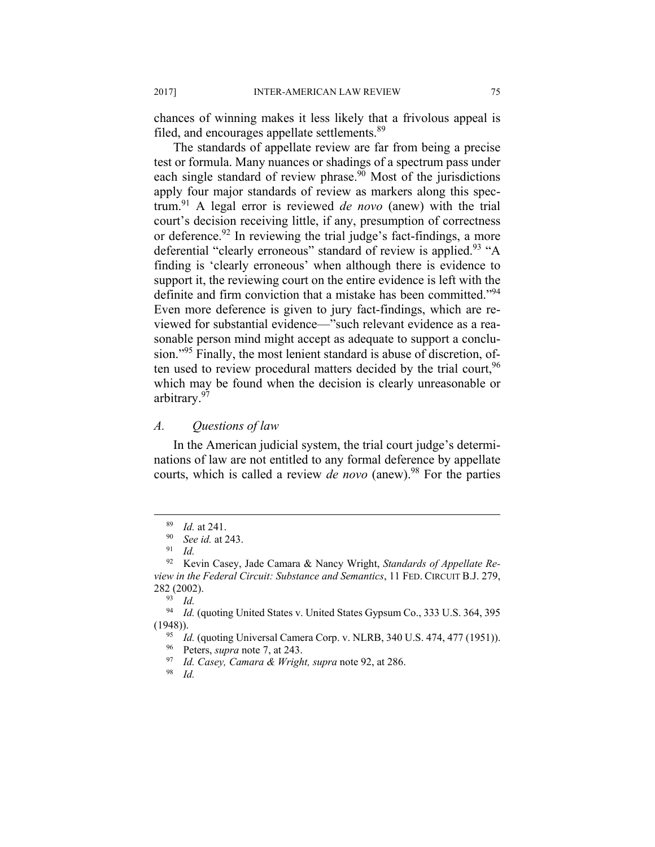chances of winning makes it less likely that a frivolous appeal is filed, and encourages appellate settlements.<sup>89</sup>

The standards of appellate review are far from being a precise test or formula. Many nuances or shadings of a spectrum pass under each single standard of review phrase.<sup>90</sup> Most of the jurisdictions apply four major standards of review as markers along this spectrum.91 A legal error is reviewed *de novo* (anew) with the trial court's decision receiving little, if any, presumption of correctness or deference.<sup>92</sup> In reviewing the trial judge's fact-findings, a more deferential "clearly erroneous" standard of review is applied.<sup>93</sup> "A finding is 'clearly erroneous' when although there is evidence to support it, the reviewing court on the entire evidence is left with the definite and firm conviction that a mistake has been committed."<sup>94</sup> Even more deference is given to jury fact-findings, which are reviewed for substantial evidence—"such relevant evidence as a reasonable person mind might accept as adequate to support a conclusion."95 Finally, the most lenient standard is abuse of discretion, often used to review procedural matters decided by the trial court, <sup>96</sup> which may be found when the decision is clearly unreasonable or arbitrary.97

#### *A. Questions of law*

In the American judicial system, the trial court judge's determinations of law are not entitled to any formal deference by appellate courts, which is called a review *de novo* (anew).<sup>98</sup> For the parties

<sup>89</sup> *Id.* at 241. 90 *See id.* at 243. 91 *Id.*

<sup>92</sup> Kevin Casey, Jade Camara & Nancy Wright, *Standards of Appellate Review in the Federal Circuit: Substance and Semantics*, 11 FED. CIRCUIT B.J. 279, 282 (2002). 93 *Id.*

<sup>94</sup> *Id.* (quoting United States v. United States Gypsum Co., 333 U.S. 364, 395 (1948)). 95 *Id.* (quoting Universal Camera Corp. v. NLRB, 340 U.S. 474, 477 (1951)). 96 Peters, *supra* note 7, at 243. 97 *Id. Casey, Camara & Wright, supra* note 92, at 286. 98 *Id.*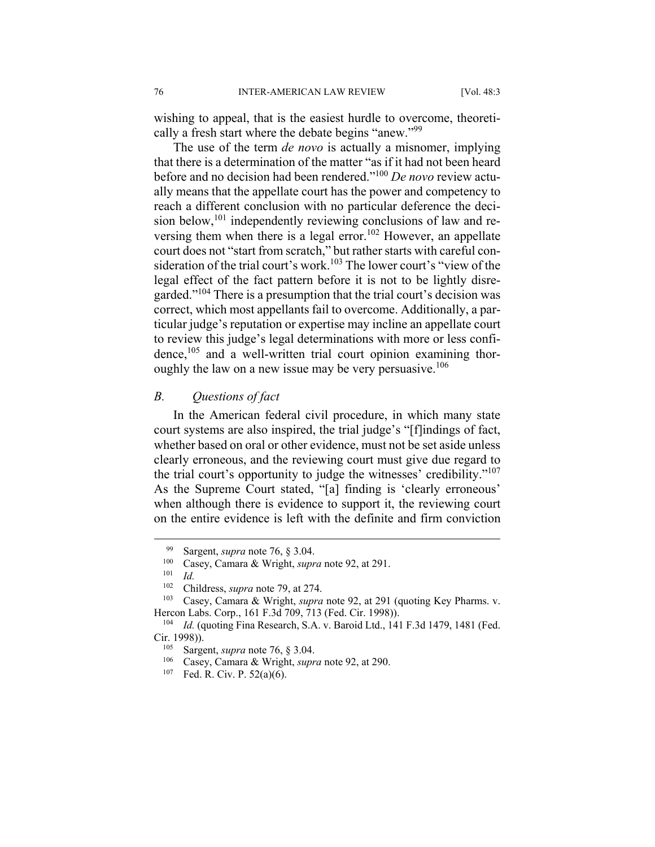wishing to appeal, that is the easiest hurdle to overcome, theoretically a fresh start where the debate begins "anew."99

The use of the term *de novo* is actually a misnomer, implying that there is a determination of the matter "as if it had not been heard before and no decision had been rendered."100 *De novo* review actually means that the appellate court has the power and competency to reach a different conclusion with no particular deference the decision below,<sup>101</sup> independently reviewing conclusions of law and reversing them when there is a legal error.<sup>102</sup> However, an appellate court does not "start from scratch," but rather starts with careful consideration of the trial court's work.<sup>103</sup> The lower court's "view of the legal effect of the fact pattern before it is not to be lightly disregarded."104 There is a presumption that the trial court's decision was correct, which most appellants fail to overcome. Additionally, a particular judge's reputation or expertise may incline an appellate court to review this judge's legal determinations with more or less confidence, $105$  and a well-written trial court opinion examining thoroughly the law on a new issue may be very persuasive.<sup>106</sup>

### *B. Questions of fact*

In the American federal civil procedure, in which many state court systems are also inspired, the trial judge's "[f]indings of fact, whether based on oral or other evidence, must not be set aside unless clearly erroneous, and the reviewing court must give due regard to the trial court's opportunity to judge the witnesses' credibility."107 As the Supreme Court stated, "[a] finding is 'clearly erroneous' when although there is evidence to support it, the reviewing court on the entire evidence is left with the definite and firm conviction

<sup>99</sup> Sargent, *supra* note 76, § 3.04.<br><sup>100</sup> Casey, Camara & Wright, *supra* note 92, at 291.<br><sup>101</sup> Id.

<sup>&</sup>lt;sup>102</sup> Childress, *supra* note 79, at 274.<br><sup>103</sup> Casey, Camara & Wright, *supra* note 92, at 291 (quoting Key Pharms. v. Hercon Labs. Corp., 161 F.3d 709, 713 (Fed. Cir. 1998)).<br><sup>104</sup> *Id.* (quoting Fina Research, S.A. v. Baroid Ltd., 141 F.3d 1479, 1481 (Fed.

Cir. 1998)).<br><sup>105</sup> Sargent, *supra* note 76, § 3.04.<br><sup>106</sup> Casey, Camara & Wright, *supra* note 92, at 290.<br><sup>107</sup> Fed. R. Civ. P. 52(a)(6).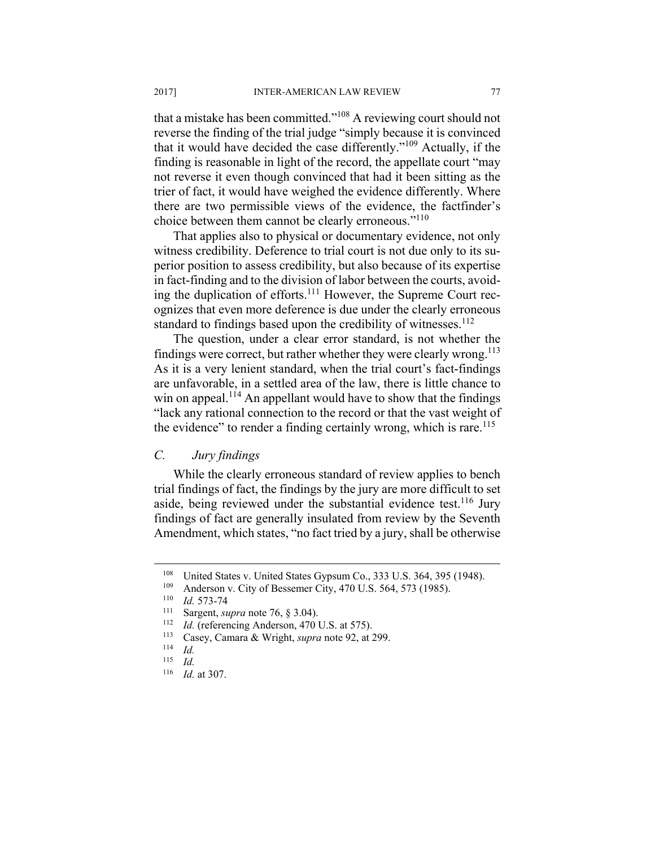that a mistake has been committed."108 A reviewing court should not reverse the finding of the trial judge "simply because it is convinced that it would have decided the case differently."109 Actually, if the finding is reasonable in light of the record, the appellate court "may not reverse it even though convinced that had it been sitting as the trier of fact, it would have weighed the evidence differently. Where there are two permissible views of the evidence, the factfinder's choice between them cannot be clearly erroneous."110

That applies also to physical or documentary evidence, not only witness credibility. Deference to trial court is not due only to its superior position to assess credibility, but also because of its expertise in fact-finding and to the division of labor between the courts, avoiding the duplication of efforts.<sup>111</sup> However, the Supreme Court recognizes that even more deference is due under the clearly erroneous standard to findings based upon the credibility of witnesses.<sup>112</sup>

The question, under a clear error standard, is not whether the findings were correct, but rather whether they were clearly wrong.<sup>113</sup> As it is a very lenient standard, when the trial court's fact-findings are unfavorable, in a settled area of the law, there is little chance to win on appeal.<sup>114</sup> An appellant would have to show that the findings "lack any rational connection to the record or that the vast weight of the evidence" to render a finding certainly wrong, which is rare.<sup>115</sup>

# *C. Jury findings*

While the clearly erroneous standard of review applies to bench trial findings of fact, the findings by the jury are more difficult to set aside, being reviewed under the substantial evidence test.<sup>116</sup> Jury findings of fact are generally insulated from review by the Seventh Amendment, which states, "no fact tried by a jury, shall be otherwise

<sup>&</sup>lt;sup>108</sup> United States v. United States Gypsum Co., 333 U.S. 364, 395 (1948).<br>
<sup>109</sup> Anderson v. City of Bessemer City, 470 U.S. 564, 573 (1985).<br>
<sup>110</sup> *Id.* 573-74<br>
<sup>111</sup> Sargent, *supra* note 76, § 3.04).<br>
<sup>112</sup> *Id.* (re

 $\frac{115}{116}$  *Id.* 

*Id.* at 307.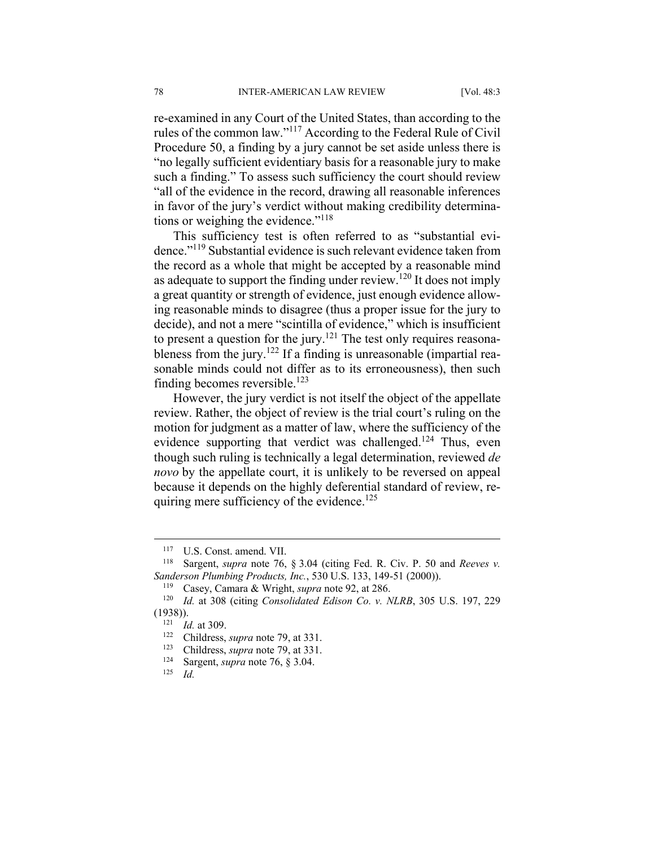re-examined in any Court of the United States, than according to the rules of the common law."117 According to the Federal Rule of Civil Procedure 50, a finding by a jury cannot be set aside unless there is "no legally sufficient evidentiary basis for a reasonable jury to make such a finding." To assess such sufficiency the court should review "all of the evidence in the record, drawing all reasonable inferences in favor of the jury's verdict without making credibility determinations or weighing the evidence."<sup>118</sup>

This sufficiency test is often referred to as "substantial evidence."119 Substantial evidence is such relevant evidence taken from the record as a whole that might be accepted by a reasonable mind as adequate to support the finding under review.<sup>120</sup> It does not imply a great quantity or strength of evidence, just enough evidence allowing reasonable minds to disagree (thus a proper issue for the jury to decide), and not a mere "scintilla of evidence," which is insufficient to present a question for the jury.<sup>121</sup> The test only requires reasonableness from the jury.<sup>122</sup> If a finding is unreasonable (impartial reasonable minds could not differ as to its erroneousness), then such finding becomes reversible. $123$ 

However, the jury verdict is not itself the object of the appellate review. Rather, the object of review is the trial court's ruling on the motion for judgment as a matter of law, where the sufficiency of the evidence supporting that verdict was challenged.<sup>124</sup> Thus, even though such ruling is technically a legal determination, reviewed *de novo* by the appellate court, it is unlikely to be reversed on appeal because it depends on the highly deferential standard of review, requiring mere sufficiency of the evidence.<sup>125</sup>

<sup>117</sup> U.S. Const. amend. VII.<br><sup>118</sup> Sargent, *supra* note 76, § 3.04 (citing Fed. R. Civ. P. 50 and *Reeves v. Sanderson Plumbing Products, Inc.*, 530 U.S. 133, 149-51 (2000)).<br><sup>119</sup> Casey, Camara & Wright, *supra* note 92, at 286.<br><sup>120</sup> *Id.* at 308 (citing *Consolidated Edison Co. v. NLRB*, 305 U.S. 197, 229

<sup>(1938)). 121</sup> *Id.* at 309. 122 Childress, *supra* note 79, at 331. 123 Childress, *supra* note 79, at 331. 124 Sargent, *supra* note 76, § 3.04. 125 *Id.*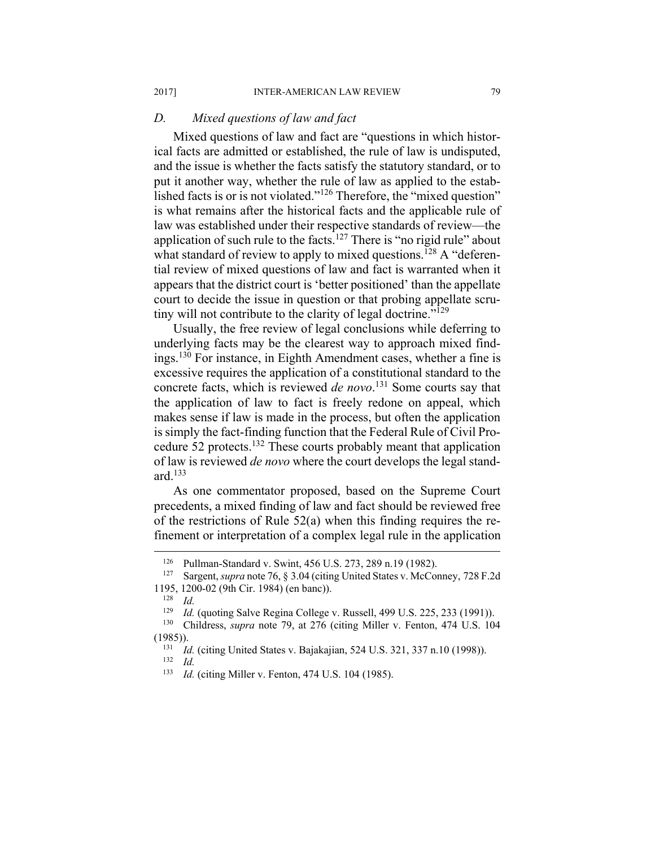# *D. Mixed questions of law and fact*

Mixed questions of law and fact are "questions in which historical facts are admitted or established, the rule of law is undisputed, and the issue is whether the facts satisfy the statutory standard, or to put it another way, whether the rule of law as applied to the established facts is or is not violated."<sup>126</sup> Therefore, the "mixed question" is what remains after the historical facts and the applicable rule of law was established under their respective standards of review—the application of such rule to the facts.<sup>127</sup> There is "no rigid rule" about what standard of review to apply to mixed questions.<sup>128</sup> A "deferential review of mixed questions of law and fact is warranted when it appears that the district court is 'better positioned' than the appellate court to decide the issue in question or that probing appellate scrutiny will not contribute to the clarity of legal doctrine."<sup>129</sup>

Usually, the free review of legal conclusions while deferring to underlying facts may be the clearest way to approach mixed findings.130 For instance, in Eighth Amendment cases, whether a fine is excessive requires the application of a constitutional standard to the concrete facts, which is reviewed *de novo*. 131 Some courts say that the application of law to fact is freely redone on appeal, which makes sense if law is made in the process, but often the application is simply the fact-finding function that the Federal Rule of Civil Procedure 52 protects.132 These courts probably meant that application of law is reviewed *de novo* where the court develops the legal standard. $133$ 

As one commentator proposed, based on the Supreme Court precedents, a mixed finding of law and fact should be reviewed free of the restrictions of Rule 52(a) when this finding requires the refinement or interpretation of a complex legal rule in the application

<sup>126</sup> Pullman-Standard v. Swint, 456 U.S. 273, 289 n.19 (1982). 127 Sargent, *supra* note 76, § 3.04 (citing United States v. McConney, 728 F.2d 1195, 1200-02 (9th Cir. 1984) (en banc)). 128 *Id.*

<sup>129</sup> *Id.* (quoting Salve Regina College v. Russell, 499 U.S. 225, 233 (1991)). 130 Childress, *supra* note 79, at 276 (citing Miller v. Fenton, 474 U.S. 104

<sup>(1985)). 131</sup> *Id.* (citing United States v. Bajakajian, 524 U.S. 321, 337 n.10 (1998)). 132 *Id.*

<sup>133</sup> *Id.* (citing Miller v. Fenton, 474 U.S. 104 (1985).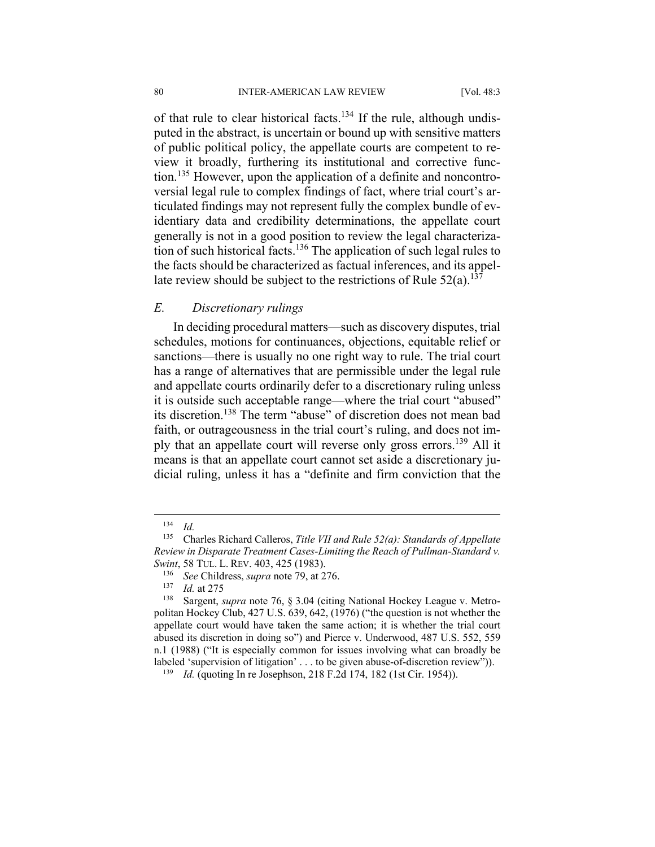of that rule to clear historical facts.<sup>134</sup> If the rule, although undisputed in the abstract, is uncertain or bound up with sensitive matters of public political policy, the appellate courts are competent to review it broadly, furthering its institutional and corrective function.135 However, upon the application of a definite and noncontroversial legal rule to complex findings of fact, where trial court's articulated findings may not represent fully the complex bundle of evidentiary data and credibility determinations, the appellate court generally is not in a good position to review the legal characterization of such historical facts.<sup>136</sup> The application of such legal rules to the facts should be characterized as factual inferences, and its appellate review should be subject to the restrictions of Rule  $52(a)$ .<sup>137</sup>

#### *E. Discretionary rulings*

In deciding procedural matters—such as discovery disputes, trial schedules, motions for continuances, objections, equitable relief or sanctions—there is usually no one right way to rule. The trial court has a range of alternatives that are permissible under the legal rule and appellate courts ordinarily defer to a discretionary ruling unless it is outside such acceptable range—where the trial court "abused" its discretion.138 The term "abuse" of discretion does not mean bad faith, or outrageousness in the trial court's ruling, and does not imply that an appellate court will reverse only gross errors.139 All it means is that an appellate court cannot set aside a discretionary judicial ruling, unless it has a "definite and firm conviction that the

<sup>134</sup> *Id.*

<sup>135</sup> Charles Richard Calleros, *Title VII and Rule 52(a): Standards of Appellate Review in Disparate Treatment Cases-Limiting the Reach of Pullman-Standard v. Swint*, 58 TUL. L. REV. 403, 425 (1983).<br><sup>136</sup> *See* Childress, *supra* note 79, at 276.<br><sup>137</sup> *Id.* at 275 Sargent, *supra* note 76, § 3.04 (citing National Hockey League v. Metro-

politan Hockey Club, 427 U.S. 639, 642, (1976) ("the question is not whether the appellate court would have taken the same action; it is whether the trial court abused its discretion in doing so") and Pierce v. Underwood, 487 U.S. 552, 559 n.1 (1988) ("It is especially common for issues involving what can broadly be labeled 'supervision of litigation' . . . to be given abuse-of-discretion review")). 139 *Id.* (quoting In re Josephson, 218 F.2d 174, 182 (1st Cir. 1954)).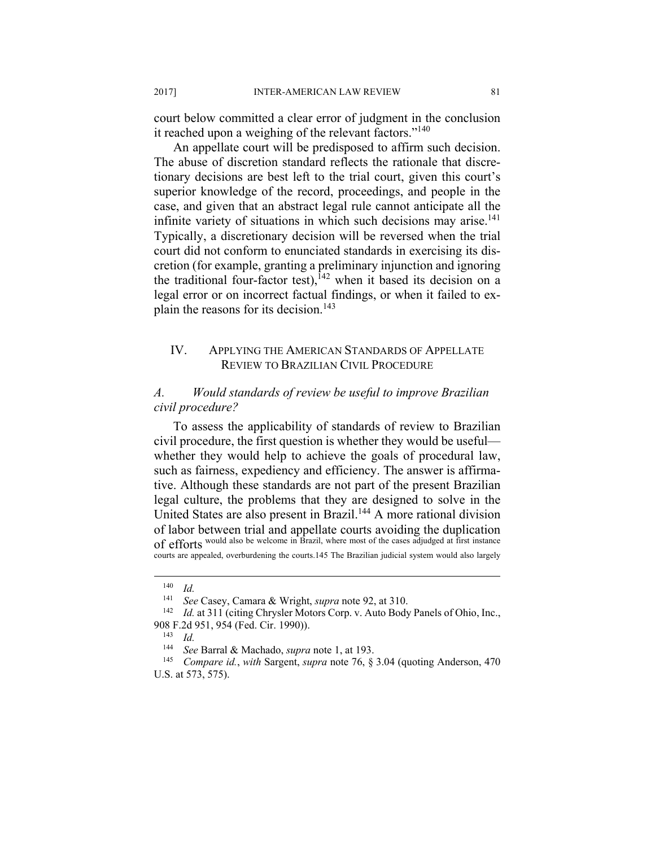court below committed a clear error of judgment in the conclusion it reached upon a weighing of the relevant factors."<sup>140</sup>

An appellate court will be predisposed to affirm such decision. The abuse of discretion standard reflects the rationale that discretionary decisions are best left to the trial court, given this court's superior knowledge of the record, proceedings, and people in the case, and given that an abstract legal rule cannot anticipate all the infinite variety of situations in which such decisions may arise.<sup>141</sup> Typically, a discretionary decision will be reversed when the trial court did not conform to enunciated standards in exercising its discretion (for example, granting a preliminary injunction and ignoring the traditional four-factor test),  $142$  when it based its decision on a legal error or on incorrect factual findings, or when it failed to explain the reasons for its decision.<sup>143</sup>

# IV. APPLYING THE AMERICAN STANDARDS OF APPELLATE REVIEW TO BRAZILIAN CIVIL PROCEDURE

# *A. Would standards of review be useful to improve Brazilian civil procedure?*

To assess the applicability of standards of review to Brazilian civil procedure, the first question is whether they would be useful whether they would help to achieve the goals of procedural law, such as fairness, expediency and efficiency. The answer is affirmative. Although these standards are not part of the present Brazilian legal culture, the problems that they are designed to solve in the United States are also present in Brazil.<sup>144</sup> A more rational division of labor between trial and appellate courts avoiding the duplication of efforts would also be welcome in Brazil, where most of the cases adjudged at first instance courts are appealed, overburdening the courts.145 The Brazilian judicial system would also largely

 $\frac{140}{141}$  *Id.* 

<sup>&</sup>lt;sup>141</sup> See Casey, Camara & Wright, *supra* note 92, at 310.<br><sup>142</sup> Id. at 311 (citing Chrysler Motors Corp. v. Auto Body Panels of Ohio, Inc., 908 F.2d 951, 954 (Fed. Cir. 1990)). 143 *Id.*

<sup>144</sup> *See* Barral & Machado, *supra* note 1, at 193.

<sup>145</sup> *Compare id.*, *with* Sargent, *supra* note 76, § 3.04 (quoting Anderson, 470 U.S. at 573, 575).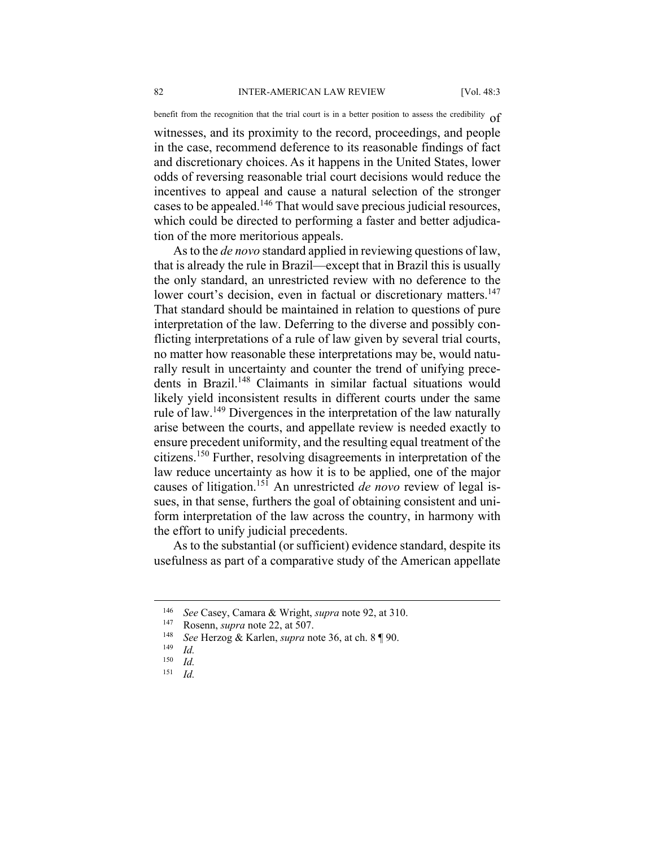benefit from the recognition that the trial court is in a better position to assess the credibility  $of$ 

witnesses, and its proximity to the record, proceedings, and people in the case, recommend deference to its reasonable findings of fact and discretionary choices. As it happens in the United States, lower odds of reversing reasonable trial court decisions would reduce the incentives to appeal and cause a natural selection of the stronger cases to be appealed.146 That would save precious judicial resources, which could be directed to performing a faster and better adjudication of the more meritorious appeals.

As to the *de novo* standard applied in reviewing questions of law, that is already the rule in Brazil—except that in Brazil this is usually the only standard, an unrestricted review with no deference to the lower court's decision, even in factual or discretionary matters.<sup>147</sup> That standard should be maintained in relation to questions of pure interpretation of the law. Deferring to the diverse and possibly conflicting interpretations of a rule of law given by several trial courts, no matter how reasonable these interpretations may be, would naturally result in uncertainty and counter the trend of unifying precedents in Brazil.<sup>148</sup> Claimants in similar factual situations would likely yield inconsistent results in different courts under the same rule of law.149 Divergences in the interpretation of the law naturally arise between the courts, and appellate review is needed exactly to ensure precedent uniformity, and the resulting equal treatment of the citizens.150 Further, resolving disagreements in interpretation of the law reduce uncertainty as how it is to be applied, one of the major causes of litigation.151 An unrestricted *de novo* review of legal issues, in that sense, furthers the goal of obtaining consistent and uniform interpretation of the law across the country, in harmony with the effort to unify judicial precedents.

As to the substantial (or sufficient) evidence standard, despite its usefulness as part of a comparative study of the American appellate

<sup>146</sup> *See* Casey, Camara & Wright, *supra* note 92, at 310. 147 Rosenn, *supra* note 22, at 507. 148 *See* Herzog & Karlen, *supra* note 36, at ch. 8 ¶ 90. 149 *Id.*

 $\frac{150}{151}$  *Id.* 151 *Id.*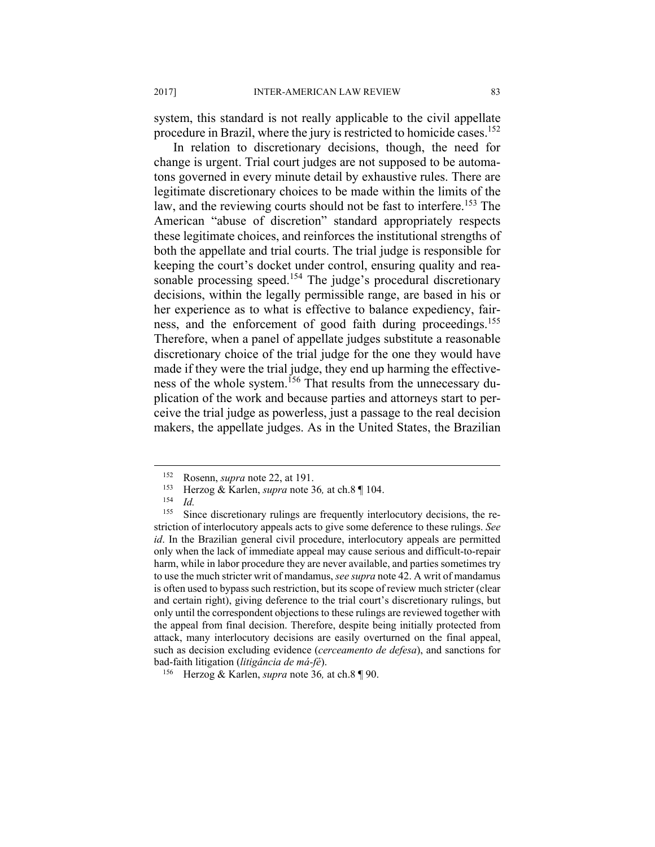system, this standard is not really applicable to the civil appellate procedure in Brazil, where the jury is restricted to homicide cases.152

In relation to discretionary decisions, though, the need for change is urgent. Trial court judges are not supposed to be automatons governed in every minute detail by exhaustive rules. There are legitimate discretionary choices to be made within the limits of the law, and the reviewing courts should not be fast to interfere.<sup>153</sup> The American "abuse of discretion" standard appropriately respects these legitimate choices, and reinforces the institutional strengths of both the appellate and trial courts. The trial judge is responsible for keeping the court's docket under control, ensuring quality and reasonable processing speed.<sup>154</sup> The judge's procedural discretionary decisions, within the legally permissible range, are based in his or her experience as to what is effective to balance expediency, fairness, and the enforcement of good faith during proceedings.<sup>155</sup> Therefore, when a panel of appellate judges substitute a reasonable discretionary choice of the trial judge for the one they would have made if they were the trial judge, they end up harming the effectiveness of the whole system.<sup>156</sup> That results from the unnecessary duplication of the work and because parties and attorneys start to perceive the trial judge as powerless, just a passage to the real decision makers, the appellate judges. As in the United States, the Brazilian

<sup>152</sup> Rosenn, *supra* note 22, at 191.<br>
<sup>153</sup> Herzog & Karlen, *supra* note 36, at ch.8 ¶ 104.<br>
<sup>154</sup> Id. Since discretionary rulings are frequently inter

Since discretionary rulings are frequently interlocutory decisions, the restriction of interlocutory appeals acts to give some deference to these rulings. *See id*. In the Brazilian general civil procedure, interlocutory appeals are permitted only when the lack of immediate appeal may cause serious and difficult-to-repair harm, while in labor procedure they are never available, and parties sometimes try to use the much stricter writ of mandamus, *see supra* note 42. A writ of mandamus is often used to bypass such restriction, but its scope of review much stricter (clear and certain right), giving deference to the trial court's discretionary rulings, but only until the correspondent objections to these rulings are reviewed together with the appeal from final decision. Therefore, despite being initially protected from attack, many interlocutory decisions are easily overturned on the final appeal, such as decision excluding evidence (*cerceamento de defesa*), and sanctions for bad-faith litigation (*litigância de má-fé*). 156 Herzog & Karlen, *supra* note 36*,* at ch.8 ¶ 90.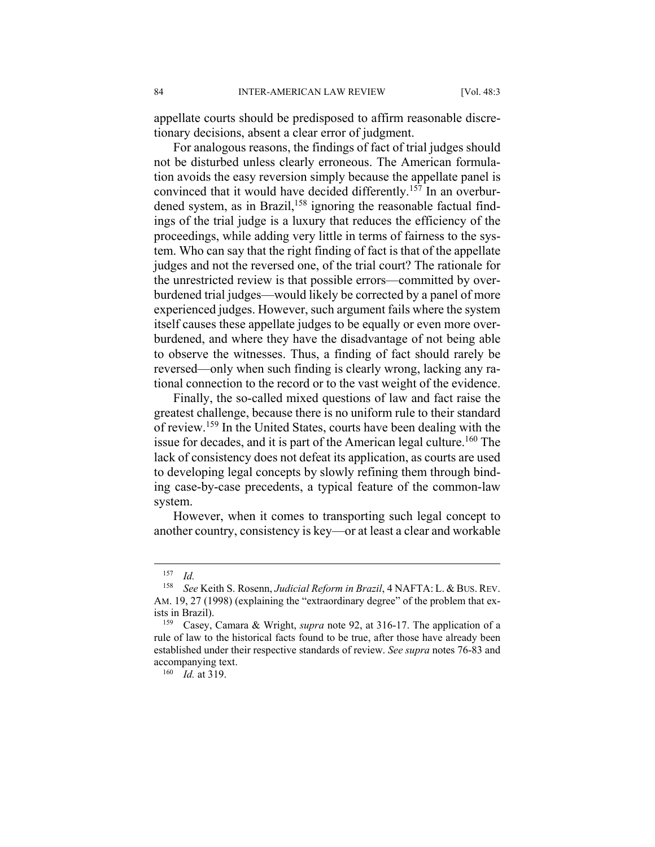appellate courts should be predisposed to affirm reasonable discretionary decisions, absent a clear error of judgment.

For analogous reasons, the findings of fact of trial judges should not be disturbed unless clearly erroneous. The American formulation avoids the easy reversion simply because the appellate panel is convinced that it would have decided differently.157 In an overburdened system, as in Brazil,<sup>158</sup> ignoring the reasonable factual findings of the trial judge is a luxury that reduces the efficiency of the proceedings, while adding very little in terms of fairness to the system. Who can say that the right finding of fact is that of the appellate judges and not the reversed one, of the trial court? The rationale for the unrestricted review is that possible errors—committed by overburdened trial judges—would likely be corrected by a panel of more experienced judges. However, such argument fails where the system itself causes these appellate judges to be equally or even more overburdened, and where they have the disadvantage of not being able to observe the witnesses. Thus, a finding of fact should rarely be reversed—only when such finding is clearly wrong, lacking any rational connection to the record or to the vast weight of the evidence.

Finally, the so-called mixed questions of law and fact raise the greatest challenge, because there is no uniform rule to their standard of review.159 In the United States, courts have been dealing with the issue for decades, and it is part of the American legal culture.<sup>160</sup> The lack of consistency does not defeat its application, as courts are used to developing legal concepts by slowly refining them through binding case-by-case precedents, a typical feature of the common-law system.

However, when it comes to transporting such legal concept to another country, consistency is key—or at least a clear and workable

 $\frac{157}{158}$  *Id.* 

<sup>158</sup> *See* Keith S. Rosenn, *Judicial Reform in Brazil*, 4 NAFTA: L. & BUS. REV. AM. 19, 27 (1998) (explaining the "extraordinary degree" of the problem that exists in Brazil). 159 Casey, Camara & Wright, *supra* note 92, at 316-17. The application of a

rule of law to the historical facts found to be true, after those have already been established under their respective standards of review. *See supra* notes 76-83 and accompanying text. 160 *Id.* at 319.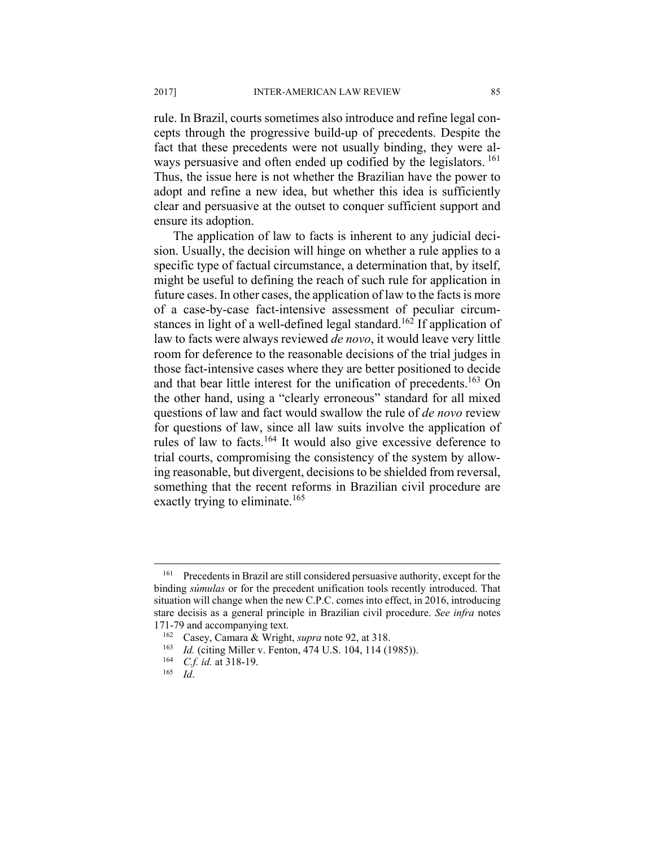rule. In Brazil, courts sometimes also introduce and refine legal concepts through the progressive build-up of precedents. Despite the fact that these precedents were not usually binding, they were always persuasive and often ended up codified by the legislators. <sup>161</sup> Thus, the issue here is not whether the Brazilian have the power to adopt and refine a new idea, but whether this idea is sufficiently clear and persuasive at the outset to conquer sufficient support and ensure its adoption.

The application of law to facts is inherent to any judicial decision. Usually, the decision will hinge on whether a rule applies to a specific type of factual circumstance, a determination that, by itself, might be useful to defining the reach of such rule for application in future cases. In other cases, the application of law to the facts is more of a case-by-case fact-intensive assessment of peculiar circumstances in light of a well-defined legal standard.<sup>162</sup> If application of law to facts were always reviewed *de novo*, it would leave very little room for deference to the reasonable decisions of the trial judges in those fact-intensive cases where they are better positioned to decide and that bear little interest for the unification of precedents.<sup>163</sup> On the other hand, using a "clearly erroneous" standard for all mixed questions of law and fact would swallow the rule of *de novo* review for questions of law, since all law suits involve the application of rules of law to facts.164 It would also give excessive deference to trial courts, compromising the consistency of the system by allowing reasonable, but divergent, decisions to be shielded from reversal, something that the recent reforms in Brazilian civil procedure are exactly trying to eliminate.<sup>165</sup>

1

<sup>161</sup> Precedents in Brazil are still considered persuasive authority, except for the binding *súmulas* or for the precedent unification tools recently introduced. That situation will change when the new C.P.C. comes into effect, in 2016, introducing stare decisis as a general principle in Brazilian civil procedure. *See infra* notes 171-79 and accompanying text.<br><sup>162</sup> Casey, Camara & Wright, *supra* note 92, at 318.<br><sup>163</sup> *Id.* (citing Miller v. Fenton, 474 U.S. 104, 114 (1985)).<br><sup>164</sup> *C.f. id.* at 318-19.<br>*Id. Id.*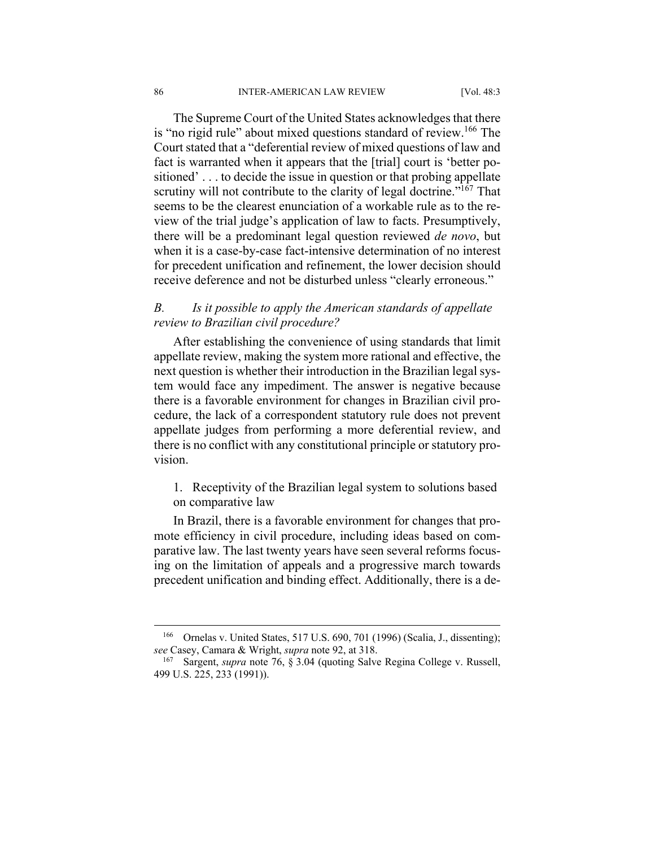The Supreme Court of the United States acknowledges that there is "no rigid rule" about mixed questions standard of review.<sup>166</sup> The Court stated that a "deferential review of mixed questions of law and fact is warranted when it appears that the [trial] court is 'better positioned' . . . to decide the issue in question or that probing appellate scrutiny will not contribute to the clarity of legal doctrine."<sup>167</sup> That seems to be the clearest enunciation of a workable rule as to the review of the trial judge's application of law to facts. Presumptively, there will be a predominant legal question reviewed *de novo*, but when it is a case-by-case fact-intensive determination of no interest for precedent unification and refinement, the lower decision should receive deference and not be disturbed unless "clearly erroneous."

# *B. Is it possible to apply the American standards of appellate review to Brazilian civil procedure?*

After establishing the convenience of using standards that limit appellate review, making the system more rational and effective, the next question is whether their introduction in the Brazilian legal system would face any impediment. The answer is negative because there is a favorable environment for changes in Brazilian civil procedure, the lack of a correspondent statutory rule does not prevent appellate judges from performing a more deferential review, and there is no conflict with any constitutional principle or statutory provision.

1. Receptivity of the Brazilian legal system to solutions based on comparative law

In Brazil, there is a favorable environment for changes that promote efficiency in civil procedure, including ideas based on comparative law. The last twenty years have seen several reforms focusing on the limitation of appeals and a progressive march towards precedent unification and binding effect. Additionally, there is a de-

<sup>166</sup> Ornelas v. United States, 517 U.S. 690, 701 (1996) (Scalia, J., dissenting); *see* Casey, Camara & Wright, *supra* note 92, at 318. 167 Sargent, *supra* note 76, § 3.04 (quoting Salve Regina College v. Russell,

<sup>499</sup> U.S. 225, 233 (1991)).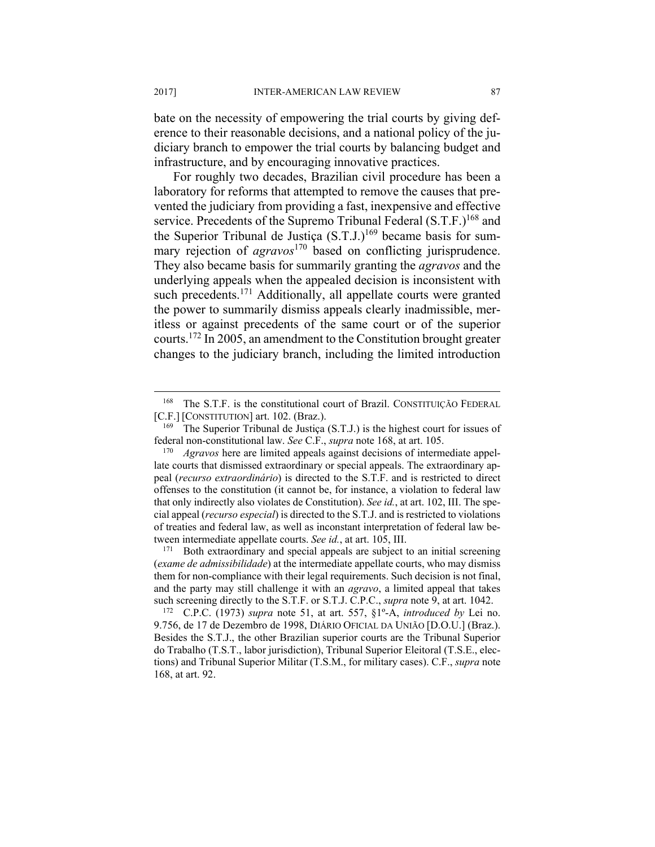bate on the necessity of empowering the trial courts by giving deference to their reasonable decisions, and a national policy of the judiciary branch to empower the trial courts by balancing budget and infrastructure, and by encouraging innovative practices.

For roughly two decades, Brazilian civil procedure has been a laboratory for reforms that attempted to remove the causes that prevented the judiciary from providing a fast, inexpensive and effective service. Precedents of the Supremo Tribunal Federal (S.T.F.)<sup>168</sup> and the Superior Tribunal de Justiça  $(S.T.J.)^{169}$  became basis for summary rejection of *agravos*<sup>170</sup> based on conflicting jurisprudence. They also became basis for summarily granting the *agravos* and the underlying appeals when the appealed decision is inconsistent with such precedents.<sup>171</sup> Additionally, all appellate courts were granted the power to summarily dismiss appeals clearly inadmissible, meritless or against precedents of the same court or of the superior courts.172 In 2005, an amendment to the Constitution brought greater changes to the judiciary branch, including the limited introduction

<sup>&</sup>lt;sup>168</sup> The S.T.F. is the constitutional court of Brazil. CONSTITUIÇÃO FEDERAL [C.F.] [CONSTITUTION] art. 102. (Braz.).<br><sup>169</sup> The Superior Tribunal de Justiça (S.T.J.) is the highest court for issues of

federal non-constitutional law. *See* C.F., *supra* note 168, at art. 105. 170 *Agravos* here are limited appeals against decisions of intermediate appel-

late courts that dismissed extraordinary or special appeals. The extraordinary appeal (*recurso extraordinário*) is directed to the S.T.F. and is restricted to direct offenses to the constitution (it cannot be, for instance, a violation to federal law that only indirectly also violates de Constitution). *See id.*, at art. 102, III. The special appeal (*recurso especial*) is directed to the S.T.J. and is restricted to violations of treaties and federal law, as well as inconstant interpretation of federal law between intermediate appellate courts. *See id.*, at art. 105, III.<br><sup>171</sup> Both extraordinary and special appeals are subject to an initial screening

<sup>(</sup>*exame de admissibilidade*) at the intermediate appellate courts, who may dismiss them for non-compliance with their legal requirements. Such decision is not final, and the party may still challenge it with an *agravo*, a limited appeal that takes such screening directly to the S.T.F. or S.T.J. C.P.C., *supra* note 9, at art. 1042. 172 C.P.C. (1973) *supra* note 51, at art. 557, §1º-A, *introduced by* Lei no.

<sup>9.756,</sup> de 17 de Dezembro de 1998, DIÁRIO OFICIAL DA UNIÃO [D.O.U.] (Braz.). Besides the S.T.J., the other Brazilian superior courts are the Tribunal Superior do Trabalho (T.S.T., labor jurisdiction), Tribunal Superior Eleitoral (T.S.E., elections) and Tribunal Superior Militar (T.S.M., for military cases). C.F., *supra* note 168, at art. 92.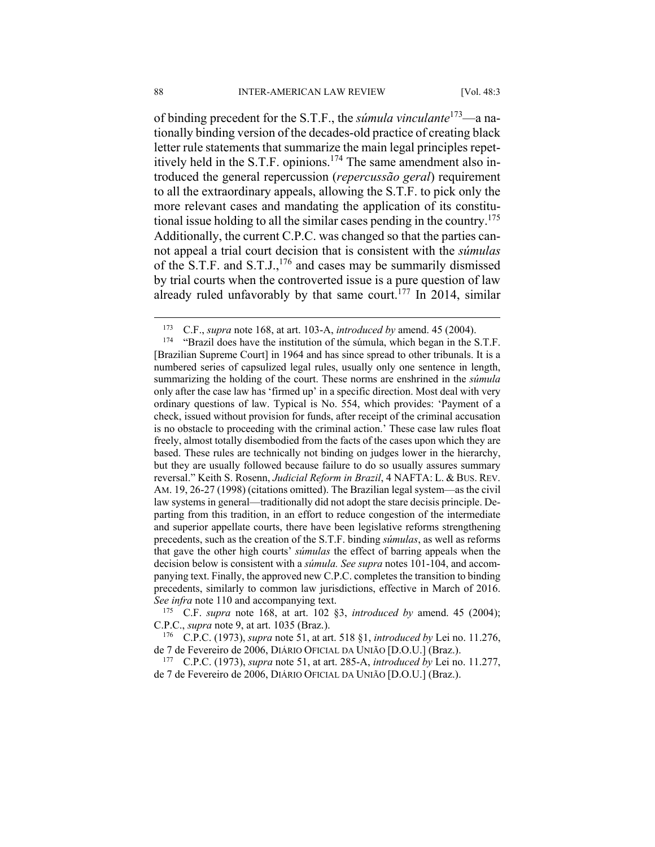of binding precedent for the S.T.F., the *súmula vinculante*173—a nationally binding version of the decades-old practice of creating black letter rule statements that summarize the main legal principles repetitively held in the S.T.F. opinions.<sup>174</sup> The same amendment also introduced the general repercussion (*repercussão geral*) requirement to all the extraordinary appeals, allowing the S.T.F. to pick only the more relevant cases and mandating the application of its constitutional issue holding to all the similar cases pending in the country.<sup>175</sup> Additionally, the current C.P.C. was changed so that the parties cannot appeal a trial court decision that is consistent with the *súmulas* of the S.T.F. and S.T.J., $176$  and cases may be summarily dismissed by trial courts when the controverted issue is a pure question of law already ruled unfavorably by that same court.<sup>177</sup> In 2014, similar

*See infra* note 110 and accompanying text.<br><sup>175</sup> C.F. *supra* note 168, at art. 102 §3, *introduced by* amend. 45 (2004); C.P.C., *supra* note 9, at art. 1035 (Braz.). 176 C.P.C. (1973), *supra* note 51, at art. 518 §1, *introduced by* Lei no. 11.276,

de 7 de Fevereiro de 2006, DIÁRIO OFICIAL DA UNIÃO [D.O.U.] (Braz.). 177 C.P.C. (1973), *supra* note 51, at art. 285-A, *introduced by* Lei no. 11.277,

de 7 de Fevereiro de 2006, DIÁRIO OFICIAL DA UNIÃO [D.O.U.] (Braz.).

<u>.</u>

<sup>173</sup> C.F., *supra* note 168, at art. 103-A, *introduced by* amend. 45 (2004). 174 "Brazil does have the institution of the súmula, which began in the S.T.F. [Brazilian Supreme Court] in 1964 and has since spread to other tribunals. It is a numbered series of capsulized legal rules, usually only one sentence in length, summarizing the holding of the court. These norms are enshrined in the *súmula* only after the case law has 'firmed up' in a specific direction. Most deal with very ordinary questions of law. Typical is No. 554, which provides: 'Payment of a check, issued without provision for funds, after receipt of the criminal accusation is no obstacle to proceeding with the criminal action.' These case law rules float freely, almost totally disembodied from the facts of the cases upon which they are based. These rules are technically not binding on judges lower in the hierarchy, but they are usually followed because failure to do so usually assures summary reversal." Keith S. Rosenn, *Judicial Reform in Brazil*, 4 NAFTA: L. & BUS. REV. AM. 19, 26-27 (1998) (citations omitted). The Brazilian legal system—as the civil law systems in general—traditionally did not adopt the stare decisis principle. Departing from this tradition, in an effort to reduce congestion of the intermediate and superior appellate courts, there have been legislative reforms strengthening precedents, such as the creation of the S.T.F. binding *súmulas*, as well as reforms that gave the other high courts' *súmulas* the effect of barring appeals when the decision below is consistent with a *súmula. See supra* notes 101-104, and accompanying text. Finally, the approved new C.P.C. completes the transition to binding precedents, similarly to common law jurisdictions, effective in March of 2016.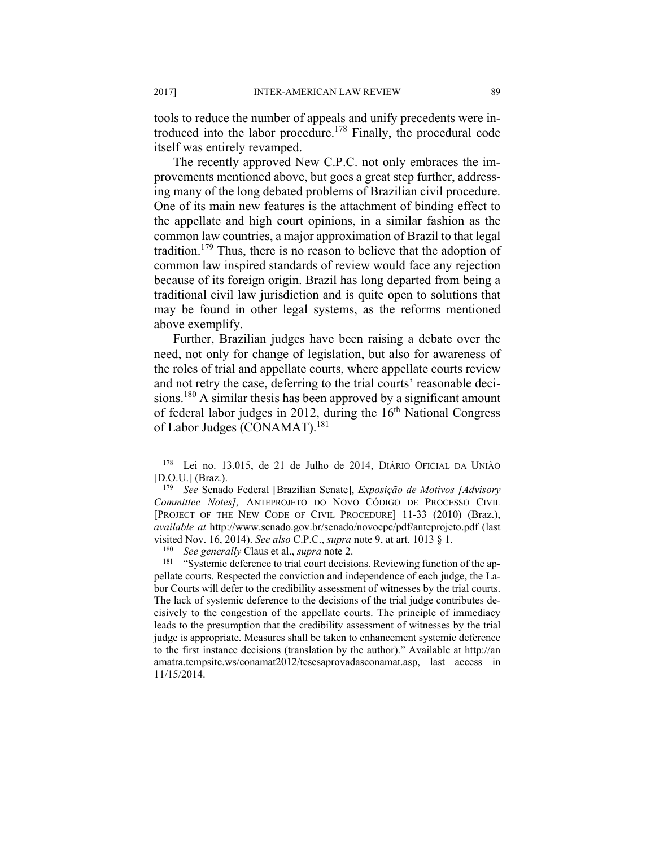tools to reduce the number of appeals and unify precedents were introduced into the labor procedure.178 Finally, the procedural code itself was entirely revamped.

The recently approved New C.P.C. not only embraces the improvements mentioned above, but goes a great step further, addressing many of the long debated problems of Brazilian civil procedure. One of its main new features is the attachment of binding effect to the appellate and high court opinions, in a similar fashion as the common law countries, a major approximation of Brazil to that legal tradition.179 Thus, there is no reason to believe that the adoption of common law inspired standards of review would face any rejection because of its foreign origin. Brazil has long departed from being a traditional civil law jurisdiction and is quite open to solutions that may be found in other legal systems, as the reforms mentioned above exemplify.

Further, Brazilian judges have been raising a debate over the need, not only for change of legislation, but also for awareness of the roles of trial and appellate courts, where appellate courts review and not retry the case, deferring to the trial courts' reasonable decisions.<sup>180</sup> A similar thesis has been approved by a significant amount of federal labor judges in 2012, during the  $16<sup>th</sup>$  National Congress of Labor Judges (CONAMAT).<sup>181</sup>

<sup>178</sup> Lei no. 13.015, de 21 de Julho de 2014, DIÁRIO OFICIAL DA UNIÃO [D.O.U.] (Braz.). 179 *See* Senado Federal [Brazilian Senate], *Exposição de Motivos [Advisory* 

*Committee Notes],* ANTEPROJETO DO NOVO CÓDIGO DE PROCESSO CIVIL [PROJECT OF THE NEW CODE OF CIVIL PROCEDURE] 11-33 (2010) (Braz.), *available at* http://www.senado.gov.br/senado/novocpc/pdf/anteprojeto.pdf (last visited Nov. 16, 2014). See also C.P.C., supra note 9, at art. 1013 § 1.<br><sup>180</sup> See generally Claus et al., supra note 2.<br><sup>181</sup> "Systemic deference to trial court decisions. Reviewing function of the ap-

pellate courts. Respected the conviction and independence of each judge, the Labor Courts will defer to the credibility assessment of witnesses by the trial courts. The lack of systemic deference to the decisions of the trial judge contributes decisively to the congestion of the appellate courts. The principle of immediacy leads to the presumption that the credibility assessment of witnesses by the trial judge is appropriate. Measures shall be taken to enhancement systemic deference to the first instance decisions (translation by the author)." Available at http://an amatra.tempsite.ws/conamat2012/tesesaprovadasconamat.asp, last access in 11/15/2014.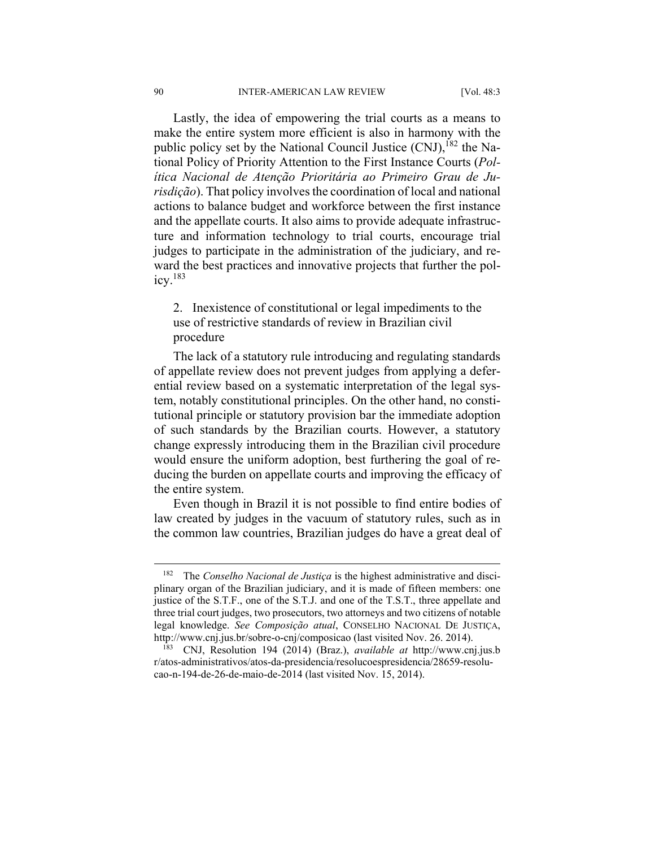Lastly, the idea of empowering the trial courts as a means to make the entire system more efficient is also in harmony with the public policy set by the National Council Justice  $(CNJ)$ ,<sup>182</sup> the National Policy of Priority Attention to the First Instance Courts (*Política Nacional de Atenção Prioritária ao Primeiro Grau de Jurisdição*). That policy involves the coordination of local and national actions to balance budget and workforce between the first instance and the appellate courts. It also aims to provide adequate infrastructure and information technology to trial courts, encourage trial judges to participate in the administration of the judiciary, and reward the best practices and innovative projects that further the pol $icv.<sup>183</sup>$ 

2. Inexistence of constitutional or legal impediments to the use of restrictive standards of review in Brazilian civil procedure

The lack of a statutory rule introducing and regulating standards of appellate review does not prevent judges from applying a deferential review based on a systematic interpretation of the legal system, notably constitutional principles. On the other hand, no constitutional principle or statutory provision bar the immediate adoption of such standards by the Brazilian courts. However, a statutory change expressly introducing them in the Brazilian civil procedure would ensure the uniform adoption, best furthering the goal of reducing the burden on appellate courts and improving the efficacy of the entire system.

Even though in Brazil it is not possible to find entire bodies of law created by judges in the vacuum of statutory rules, such as in the common law countries, Brazilian judges do have a great deal of

<sup>&</sup>lt;sup>182</sup> The *Conselho Nacional de Justiça* is the highest administrative and disciplinary organ of the Brazilian judiciary, and it is made of fifteen members: one justice of the S.T.F., one of the S.T.J. and one of the T.S.T., three appellate and three trial court judges, two prosecutors, two attorneys and two citizens of notable legal knowledge. *See Composição atual*, CONSELHO NACIONAL DE JUSTIÇA, http://www.cnj.jus.br/sobre-o-cnj/composicao (last visited Nov. 26. 2014). 183 CNJ, Resolution 194 (2014) (Braz.), *available at* http://www.cnj.jus.b

r/atos-administrativos/atos-da-presidencia/resolucoespresidencia/28659-resolucao-n-194-de-26-de-maio-de-2014 (last visited Nov. 15, 2014).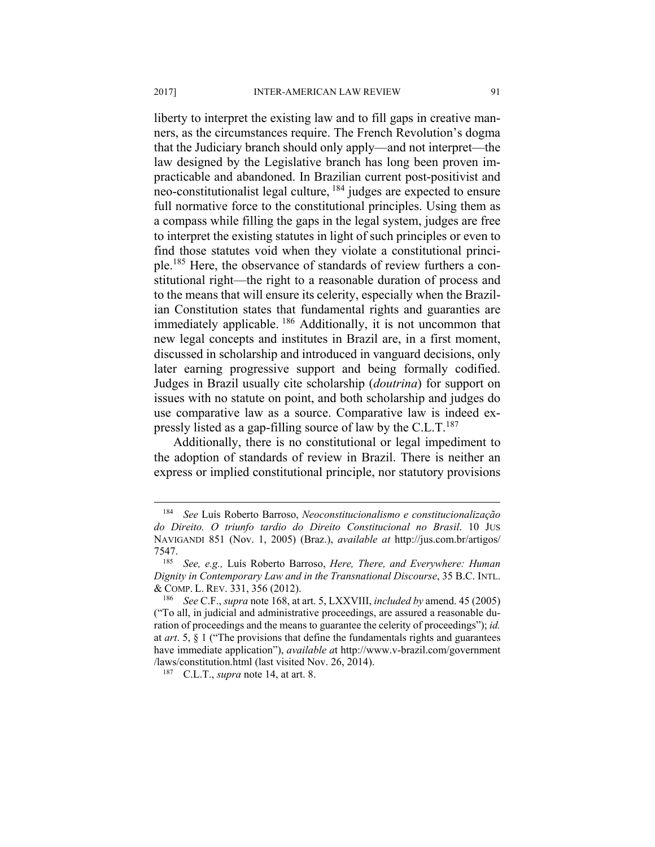liberty to interpret the existing law and to fill gaps in creative manners, as the circumstances require. The French Revolution's dogma that the Judiciary branch should only apply—and not interpret—the law designed by the Legislative branch has long been proven impracticable and abandoned. In Brazilian current post-positivist and neo-constitutionalist legal culture, 184 judges are expected to ensure full normative force to the constitutional principles. Using them as a compass while filling the gaps in the legal system, judges are free to interpret the existing statutes in light of such principles or even to find those statutes void when they violate a constitutional principle.185 Here, the observance of standards of review furthers a constitutional right—the right to a reasonable duration of process and to the means that will ensure its celerity, especially when the Brazilian Constitution states that fundamental rights and guaranties are immediately applicable. 186 Additionally, it is not uncommon that new legal concepts and institutes in Brazil are, in a first moment, discussed in scholarship and introduced in vanguard decisions, only later earning progressive support and being formally codified. Judges in Brazil usually cite scholarship (*doutrina*) for support on issues with no statute on point, and both scholarship and judges do use comparative law as a source. Comparative law is indeed expressly listed as a gap-filling source of law by the C.L.T. $^{187}$ 

Additionally, there is no constitutional or legal impediment to the adoption of standards of review in Brazil. There is neither an express or implied constitutional principle, nor statutory provisions

<sup>184</sup> *See* Luís Roberto Barroso, *Neoconstitucionalismo e constitucionalização do Direito. O triunfo tardio do Direito Constitucional no Brasil*. 10 JUS NAVIGANDI 851 (Nov. 1, 2005) (Braz.), *available at* http://jus.com.br/artigos/

<sup>7547. 185</sup> *See, e.g.,* Luís Roberto Barroso, *Here, There, and Everywhere: Human Dignity in Contemporary Law and in the Transnational Discourse*, 35 B.C. INTL. & COMP. L. REV. 331, 356 (2012). 186 *See* C.F., *supra* note 168, at art. 5, LXXVIII, *included by* amend. 45 (2005)

<sup>(&</sup>quot;To all, in judicial and administrative proceedings, are assured a reasonable duration of proceedings and the means to guarantee the celerity of proceedings"); *id.*  at *art*. 5, § 1 ("The provisions that define the fundamentals rights and guarantees have immediate application"), *available a*t http://www.v-brazil.com/government /laws/constitution.html (last visited Nov. 26, 2014). 187 C.L.T., *supra* note 14, at art. 8.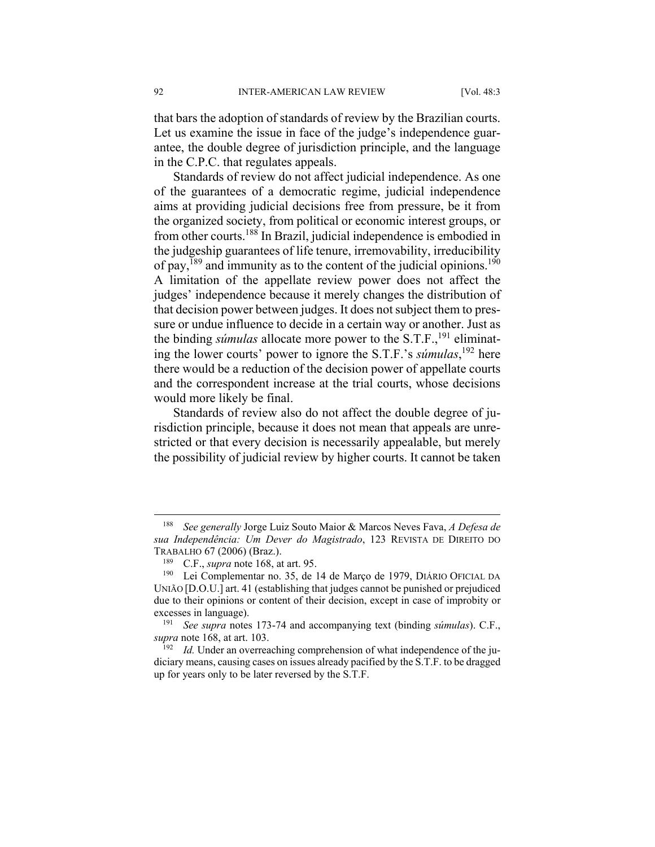that bars the adoption of standards of review by the Brazilian courts. Let us examine the issue in face of the judge's independence guarantee, the double degree of jurisdiction principle, and the language in the C.P.C. that regulates appeals.

Standards of review do not affect judicial independence. As one of the guarantees of a democratic regime, judicial independence aims at providing judicial decisions free from pressure, be it from the organized society, from political or economic interest groups, or from other courts.188 In Brazil, judicial independence is embodied in the judgeship guarantees of life tenure, irremovability, irreducibility of pay,  $189$  and immunity as to the content of the judicial opinions.<sup>190</sup> A limitation of the appellate review power does not affect the judges' independence because it merely changes the distribution of that decision power between judges. It does not subject them to pressure or undue influence to decide in a certain way or another. Just as the binding *súmulas* allocate more power to the S.T.F.,<sup>191</sup> eliminating the lower courts' power to ignore the S.T.F.'s *súmulas*, 192 here there would be a reduction of the decision power of appellate courts and the correspondent increase at the trial courts, whose decisions would more likely be final.

Standards of review also do not affect the double degree of jurisdiction principle, because it does not mean that appeals are unrestricted or that every decision is necessarily appealable, but merely the possibility of judicial review by higher courts. It cannot be taken

<sup>188</sup> *See generally* Jorge Luiz Souto Maior & Marcos Neves Fava, *A Defesa de sua Independência: Um Dever do Magistrado*, 123 REVISTA DE DIREITO DO TRABALHO 67 (2006) (Braz.).<br><sup>189</sup> C.F., *supra* note 168, at art. 95.<br><sup>190</sup> Lei Complementar no. 35, de 14 de Março de 1979, DIÁRIO OFICIAL DA

UNIÃO [D.O.U.] art. 41 (establishing that judges cannot be punished or prejudiced due to their opinions or content of their decision, except in case of improbity or excesses in language). 191 *See supra* notes 173-74 and accompanying text (binding *súmulas*). C.F.,

*supra* note 168, at art. 103.<br><sup>192</sup> *Id.* Under an overreaching comprehension of what independence of the ju-

diciary means, causing cases on issues already pacified by the S.T.F. to be dragged up for years only to be later reversed by the S.T.F.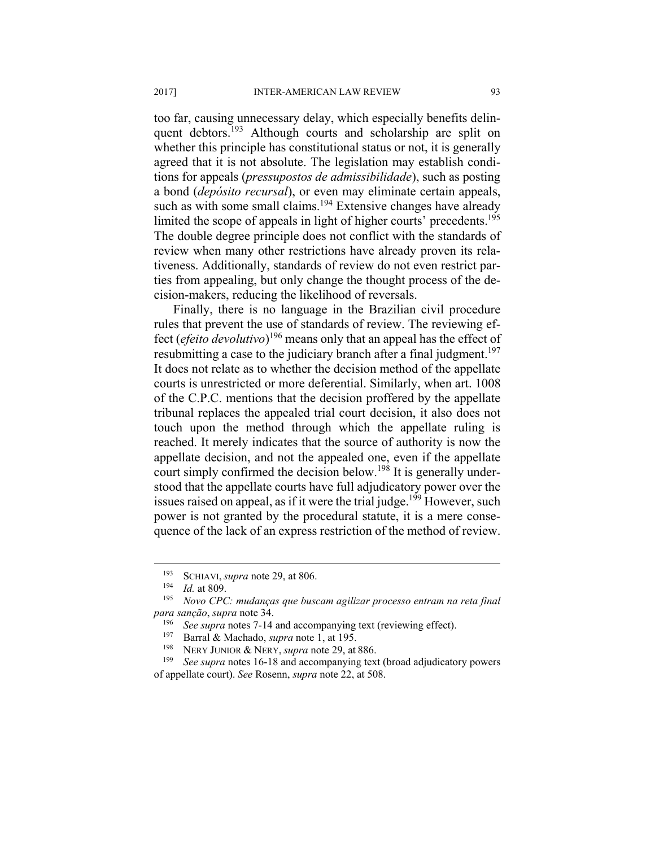too far, causing unnecessary delay, which especially benefits delinquent debtors.<sup>193</sup> Although courts and scholarship are split on whether this principle has constitutional status or not, it is generally agreed that it is not absolute. The legislation may establish conditions for appeals (*pressupostos de admissibilidade*), such as posting a bond (*depósito recursal*), or even may eliminate certain appeals, such as with some small claims.<sup>194</sup> Extensive changes have already limited the scope of appeals in light of higher courts' precedents.195 The double degree principle does not conflict with the standards of review when many other restrictions have already proven its relativeness. Additionally, standards of review do not even restrict parties from appealing, but only change the thought process of the decision-makers, reducing the likelihood of reversals.

Finally, there is no language in the Brazilian civil procedure rules that prevent the use of standards of review. The reviewing effect (*efeito devolutivo*) 196 means only that an appeal has the effect of resubmitting a case to the judiciary branch after a final judgment.<sup>197</sup> It does not relate as to whether the decision method of the appellate courts is unrestricted or more deferential. Similarly, when art. 1008 of the C.P.C. mentions that the decision proffered by the appellate tribunal replaces the appealed trial court decision, it also does not touch upon the method through which the appellate ruling is reached. It merely indicates that the source of authority is now the appellate decision, and not the appealed one, even if the appellate court simply confirmed the decision below.<sup>198</sup> It is generally understood that the appellate courts have full adjudicatory power over the issues raised on appeal, as if it were the trial judge.<sup>199</sup> However, such power is not granted by the procedural statute, it is a mere consequence of the lack of an express restriction of the method of review.

<sup>193</sup> SCHIAVI, *supra* note 29, at 806. 194 *Id.* at 809. 195 *Novo CPC: mudanças que buscam agilizar processo entram na reta final*  para sanção, supra note 34.<br>
<sup>196</sup> See supra notes 7-14 and accompanying text (reviewing effect).<br>
<sup>197</sup> Barral & Machado, *supra* note 1, at 195.<br>
<sup>198</sup> NERY JUNIOR & NERY, *supra* note 29, at 886.<br>
<sup>199</sup> See supra notes

of appellate court). *See* Rosenn, *supra* note 22, at 508.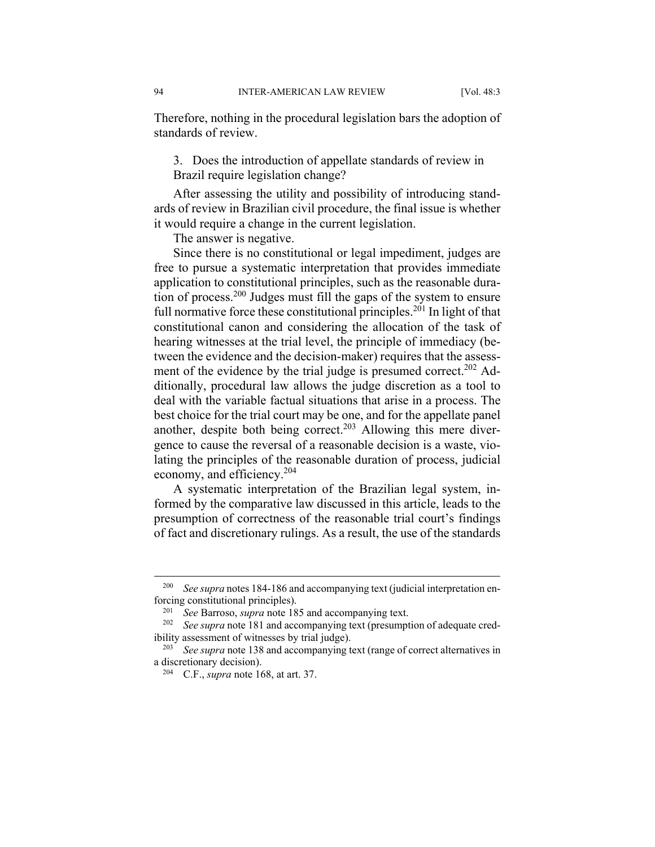Therefore, nothing in the procedural legislation bars the adoption of standards of review.

3. Does the introduction of appellate standards of review in Brazil require legislation change?

After assessing the utility and possibility of introducing standards of review in Brazilian civil procedure, the final issue is whether it would require a change in the current legislation.

The answer is negative.

Since there is no constitutional or legal impediment, judges are free to pursue a systematic interpretation that provides immediate application to constitutional principles, such as the reasonable duration of process.200 Judges must fill the gaps of the system to ensure full normative force these constitutional principles.<sup>201</sup> In light of that constitutional canon and considering the allocation of the task of hearing witnesses at the trial level, the principle of immediacy (between the evidence and the decision-maker) requires that the assessment of the evidence by the trial judge is presumed correct.<sup>202</sup> Additionally, procedural law allows the judge discretion as a tool to deal with the variable factual situations that arise in a process. The best choice for the trial court may be one, and for the appellate panel another, despite both being correct.<sup>203</sup> Allowing this mere divergence to cause the reversal of a reasonable decision is a waste, violating the principles of the reasonable duration of process, judicial economy, and efficiency.204

A systematic interpretation of the Brazilian legal system, informed by the comparative law discussed in this article, leads to the presumption of correctness of the reasonable trial court's findings of fact and discretionary rulings. As a result, the use of the standards

<u>.</u>

<sup>&</sup>lt;sup>200</sup> See supra notes 184-186 and accompanying text (judicial interpretation enforcing constitutional principles).<br><sup>201</sup> See Barroso, *supra* note 185 and accompanying text.<br><sup>202</sup> See *supra* note 181 and accompanying text (presumption of adequate cred-

ibility assessment of witnesses by trial judge).<br><sup>203</sup> See supra note 138 and accompanying text (range of correct alternatives in

a discretionary decision). 204 C.F., *supra* note 168, at art. 37.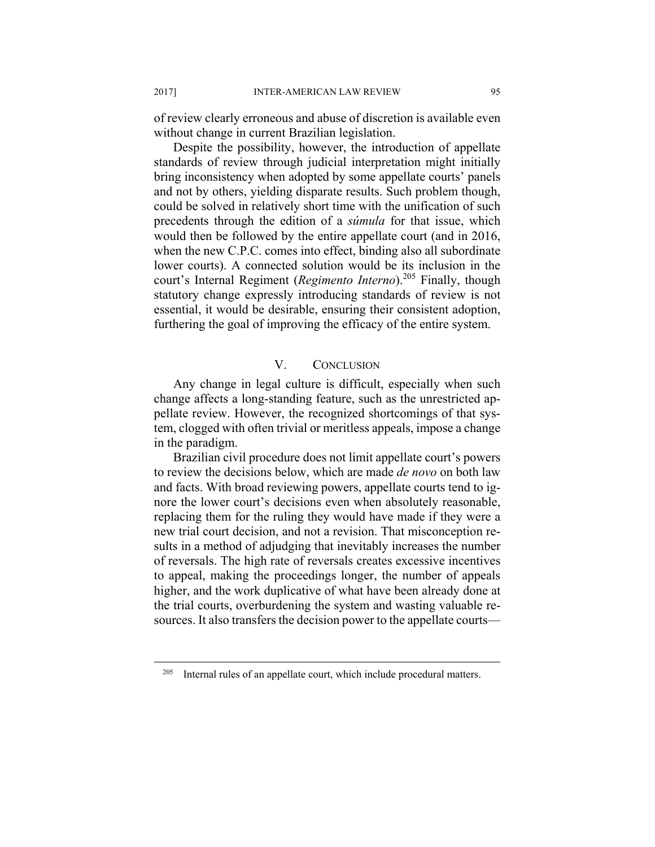of review clearly erroneous and abuse of discretion is available even without change in current Brazilian legislation.

Despite the possibility, however, the introduction of appellate standards of review through judicial interpretation might initially bring inconsistency when adopted by some appellate courts' panels and not by others, yielding disparate results. Such problem though, could be solved in relatively short time with the unification of such precedents through the edition of a *súmula* for that issue, which would then be followed by the entire appellate court (and in 2016, when the new C.P.C. comes into effect, binding also all subordinate lower courts). A connected solution would be its inclusion in the court's Internal Regiment (*Regimento Interno*).<sup>205</sup> Finally, though statutory change expressly introducing standards of review is not essential, it would be desirable, ensuring their consistent adoption, furthering the goal of improving the efficacy of the entire system.

# V. CONCLUSION

Any change in legal culture is difficult, especially when such change affects a long-standing feature, such as the unrestricted appellate review. However, the recognized shortcomings of that system, clogged with often trivial or meritless appeals, impose a change in the paradigm.

Brazilian civil procedure does not limit appellate court's powers to review the decisions below, which are made *de novo* on both law and facts. With broad reviewing powers, appellate courts tend to ignore the lower court's decisions even when absolutely reasonable, replacing them for the ruling they would have made if they were a new trial court decision, and not a revision. That misconception results in a method of adjudging that inevitably increases the number of reversals. The high rate of reversals creates excessive incentives to appeal, making the proceedings longer, the number of appeals higher, and the work duplicative of what have been already done at the trial courts, overburdening the system and wasting valuable resources. It also transfers the decision power to the appellate courts—

 $205$  Internal rules of an appellate court, which include procedural matters.